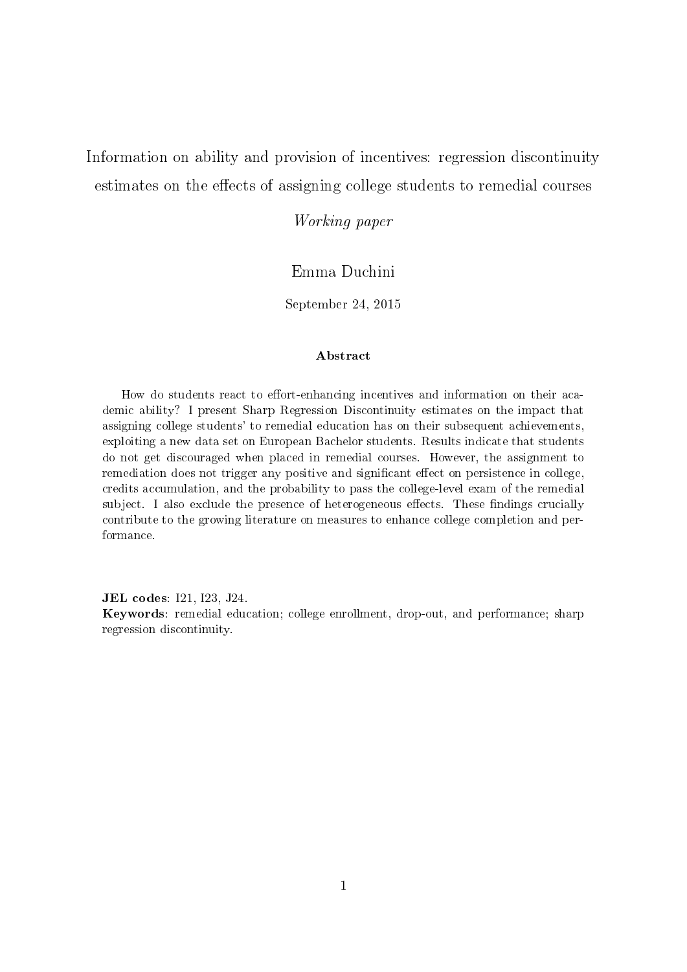<span id="page-0-0"></span>Information on ability and provision of incentives: regression discontinuity estimates on the effects of assigning college students to remedial courses

Working paper

#### Emma Duchini

September 24, 2015

#### ${\bf Abstract}$

How do students react to effort-enhancing incentives and information on their academic ability? I present Sharp Regression Discontinuity estimates on the impact that assigning college students' to remedial education has on their subsequent achievements, exploiting a new data set on European Bachelor students. Results indicate that students do not get discouraged when placed in remedial courses. However, the assignment to remediation does not trigger any positive and significant effect on persistence in college, credits accumulation, and the probability to pass the college-level exam of the remedial subject. I also exclude the presence of heterogeneous effects. These findings crucially contribute to the growing literature on measures to enhance college completion and performance.

JEL codes: I21, I23, J24.

Keywords: remedial education; college enrollment, drop-out, and performance; sharp regression discontinuity.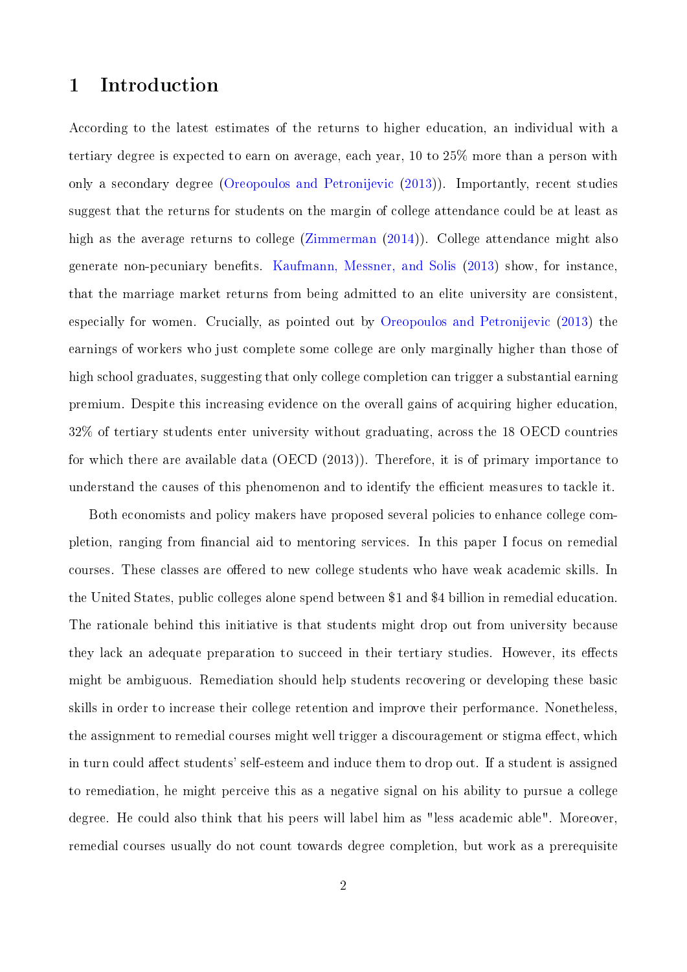### 1 Introduction

According to the latest estimates of the returns to higher education, an individual with a tertiary degree is expected to earn on average, each year, 10 to 25% more than a person with only a secondary degree [\(Oreopoulos and Petronijevic](#page-33-0) [\(2013\)](#page-33-0)). Importantly, recent studies suggest that the returns for students on the margin of college attendance could be at least as high as the average returns to college [\(Zimmerman](#page-33-1) [\(2014\)](#page-33-1)). College attendance might also generate non-pecuniary benets. [Kaufmann, Messner, and Solis](#page-32-0) [\(2013\)](#page-32-0) show, for instance, that the marriage market returns from being admitted to an elite university are consistent, especially for women. Crucially, as pointed out by [Oreopoulos and Petronijevic](#page-33-0) [\(2013\)](#page-33-0) the earnings of workers who just complete some college are only marginally higher than those of high school graduates, suggesting that only college completion can trigger a substantial earning premium. Despite this increasing evidence on the overall gains of acquiring higher education, 32% of tertiary students enter university without graduating, across the 18 OECD countries for which there are available data (OECD (2013)). Therefore, it is of primary importance to understand the causes of this phenomenon and to identify the efficient measures to tackle it.

Both economists and policy makers have proposed several policies to enhance college completion, ranging from financial aid to mentoring services. In this paper I focus on remedial courses. These classes are offered to new college students who have weak academic skills. In the United States, public colleges alone spend between \$1 and \$4 billion in remedial education. The rationale behind this initiative is that students might drop out from university because they lack an adequate preparation to succeed in their tertiary studies. However, its effects might be ambiguous. Remediation should help students recovering or developing these basic skills in order to increase their college retention and improve their performance. Nonetheless, the assignment to remedial courses might well trigger a discouragement or stigma effect, which in turn could affect students' self-esteem and induce them to drop out. If a student is assigned to remediation, he might perceive this as a negative signal on his ability to pursue a college degree. He could also think that his peers will label him as "less academic able". Moreover, remedial courses usually do not count towards degree completion, but work as a prerequisite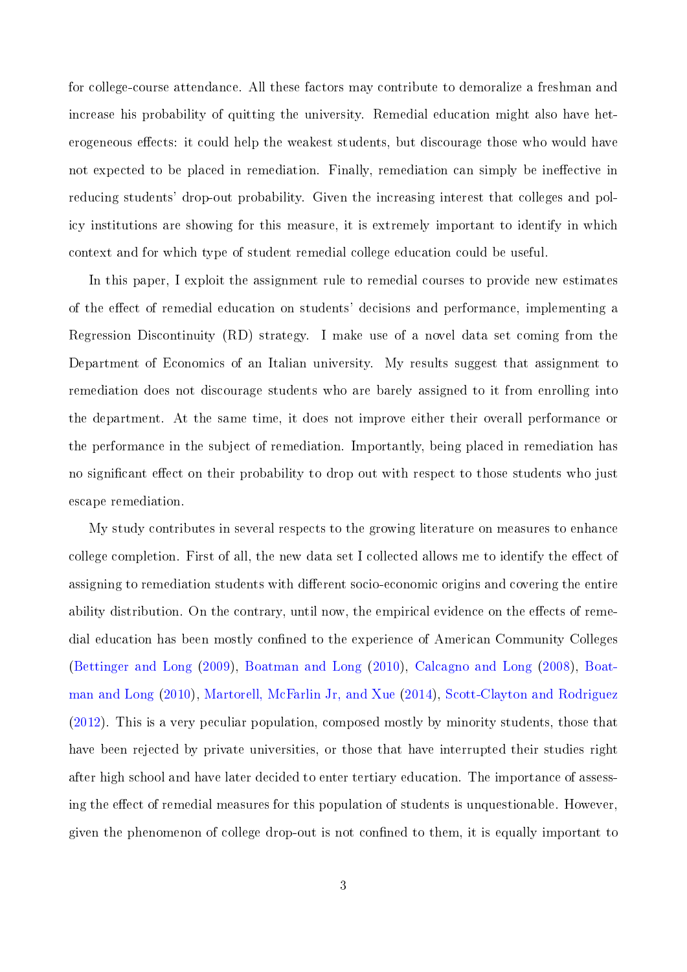for college-course attendance. All these factors may contribute to demoralize a freshman and increase his probability of quitting the university. Remedial education might also have heterogeneous effects: it could help the weakest students, but discourage those who would have not expected to be placed in remediation. Finally, remediation can simply be ineffective in reducing students' drop-out probability. Given the increasing interest that colleges and policy institutions are showing for this measure, it is extremely important to identify in which context and for which type of student remedial college education could be useful.

In this paper, I exploit the assignment rule to remedial courses to provide new estimates of the effect of remedial education on students' decisions and performance, implementing a Regression Discontinuity (RD) strategy. I make use of a novel data set coming from the Department of Economics of an Italian university. My results suggest that assignment to remediation does not discourage students who are barely assigned to it from enrolling into the department. At the same time, it does not improve either their overall performance or the performance in the subject of remediation. Importantly, being placed in remediation has no significant effect on their probability to drop out with respect to those students who just escape remediation.

My study contributes in several respects to the growing literature on measures to enhance college completion. First of all, the new data set I collected allows me to identify the effect of assigning to remediation students with different socio-economic origins and covering the entire ability distribution. On the contrary, until now, the empirical evidence on the effects of remedial education has been mostly confined to the experience of American Community Colleges [\(Bettinger and Long](#page-31-0) [\(2009\)](#page-31-0), [Boatman and Long](#page-31-1) [\(2010\)](#page-31-1), [Calcagno and Long](#page-31-2) [\(2008\)](#page-31-2), [Boat](#page-31-1)[man and Long](#page-31-1) [\(2010\)](#page-31-1), [Martorell, McFarlin Jr, and Xue](#page-32-1) [\(2014\)](#page-32-1), [Scott-Clayton and Rodriguez](#page-33-2) [\(2012\)](#page-33-2). This is a very peculiar population, composed mostly by minority students, those that have been rejected by private universities, or those that have interrupted their studies right after high school and have later decided to enter tertiary education. The importance of assessing the effect of remedial measures for this population of students is unquestionable. However, given the phenomenon of college drop-out is not confined to them, it is equally important to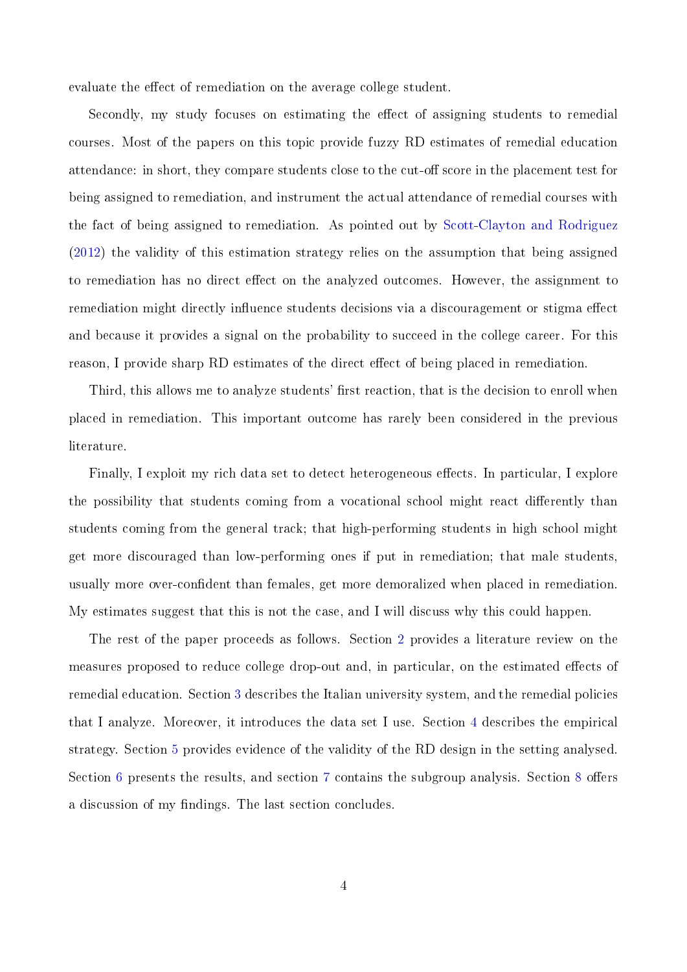evaluate the effect of remediation on the average college student.

Secondly, my study focuses on estimating the effect of assigning students to remedial courses. Most of the papers on this topic provide fuzzy RD estimates of remedial education attendance: in short, they compare students close to the cut-off score in the placement test for being assigned to remediation, and instrument the actual attendance of remedial courses with the fact of being assigned to remediation. As pointed out by [Scott-Clayton and Rodriguez](#page-33-2) [\(2012\)](#page-33-2) the validity of this estimation strategy relies on the assumption that being assigned to remediation has no direct effect on the analyzed outcomes. However, the assignment to remediation might directly influence students decisions via a discouragement or stigma effect and because it provides a signal on the probability to succeed in the college career. For this reason, I provide sharp RD estimates of the direct effect of being placed in remediation.

Third, this allows me to analyze students' first reaction, that is the decision to enroll when placed in remediation. This important outcome has rarely been considered in the previous literature.

Finally, I exploit my rich data set to detect heterogeneous effects. In particular, I explore the possibility that students coming from a vocational school might react differently than students coming from the general track; that high-performing students in high school might get more discouraged than low-performing ones if put in remediation; that male students, usually more over-confident than females, get more demoralized when placed in remediation. My estimates suggest that this is not the case, and I will discuss why this could happen.

The rest of the paper proceeds as follows. Section [2](#page-4-0) provides a literature review on the measures proposed to reduce college drop-out and, in particular, on the estimated effects of remedial education. Section [3](#page-6-0) describes the Italian university system, and the remedial policies that I analyze. Moreover, it introduces the data set I use. Section [4](#page-9-0) describes the empirical strategy. Section [5](#page-13-0) provides evidence of the validity of the RD design in the setting analysed. Section [6](#page-14-0) presents the results, and section [7](#page-17-0) contains the subgroup analysis. Section [8](#page-18-0) offers a discussion of my findings. The last section concludes.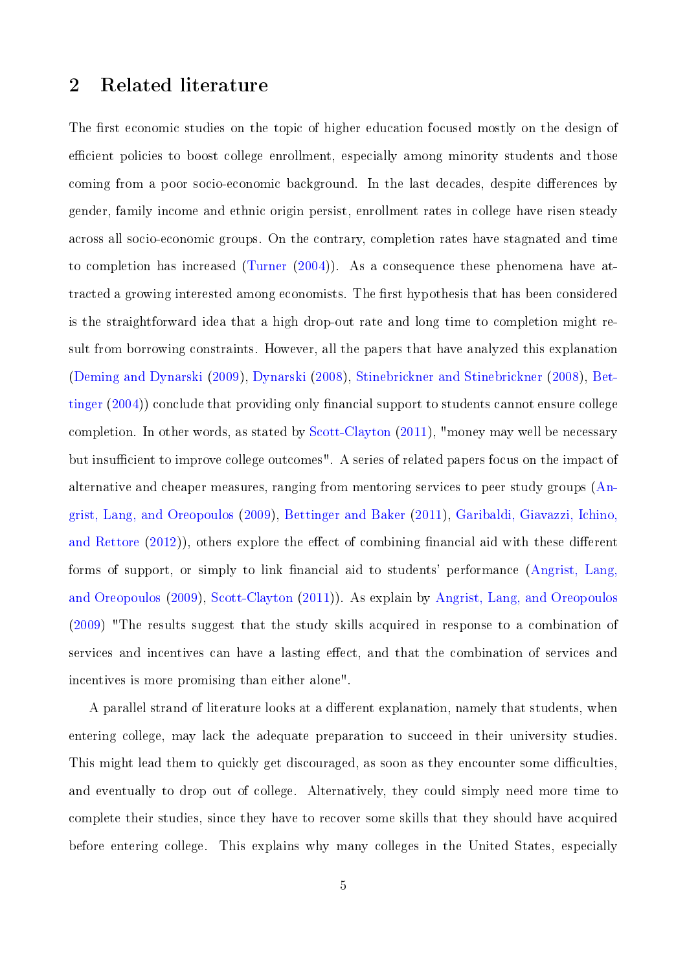### <span id="page-4-0"></span>2 Related literature

The first economic studies on the topic of higher education focused mostly on the design of efficient policies to boost college enrollment, especially among minority students and those coming from a poor socio-economic background. In the last decades, despite differences by gender, family income and ethnic origin persist, enrollment rates in college have risen steady across all socio-economic groups. On the contrary, completion rates have stagnated and time to completion has increased [\(Turner](#page-33-3) [\(2004\)](#page-33-3)). As a consequence these phenomena have attracted a growing interested among economists. The first hypothesis that has been considered is the straightforward idea that a high drop-out rate and long time to completion might result from borrowing constraints. However, all the papers that have analyzed this explanation [\(Deming and Dynarski](#page-31-3) [\(2009\)](#page-31-3), [Dynarski](#page-32-2) [\(2008\)](#page-32-2), [Stinebrickner and Stinebrickner](#page-33-4) [\(2008\)](#page-33-4), [Bet](#page-31-4)[tinger](#page-31-4)  $(2004)$  conclude that providing only financial support to students cannot ensure college completion. In other words, as stated by [Scott-Clayton](#page-33-5) [\(2011\)](#page-33-5), "money may well be necessary but insufficient to improve college outcomes". A series of related papers focus on the impact of alternative and cheaper measures, ranging from mentoring services to peer study groups [\(An](#page-31-5)[grist, Lang, and Oreopoulos](#page-31-5) [\(2009\)](#page-31-5), [Bettinger and Baker](#page-31-6) [\(2011\)](#page-31-6), [Garibaldi, Giavazzi, Ichino,](#page-32-3) [and Rettore](#page-32-3)  $(2012)$ , others explore the effect of combining financial aid with these different forms of support, or simply to link financial aid to students' performance [\(Angrist, Lang,](#page-31-5) [and Oreopoulos](#page-31-5) [\(2009\)](#page-31-5), [Scott-Clayton](#page-33-5) [\(2011\)](#page-33-5)). As explain by [Angrist, Lang, and Oreopoulos](#page-31-5) [\(2009\)](#page-31-5) "The results suggest that the study skills acquired in response to a combination of services and incentives can have a lasting effect, and that the combination of services and incentives is more promising than either alone".

A parallel strand of literature looks at a different explanation, namely that students, when entering college, may lack the adequate preparation to succeed in their university studies. This might lead them to quickly get discouraged, as soon as they encounter some difficulties. and eventually to drop out of college. Alternatively, they could simply need more time to complete their studies, since they have to recover some skills that they should have acquired before entering college. This explains why many colleges in the United States, especially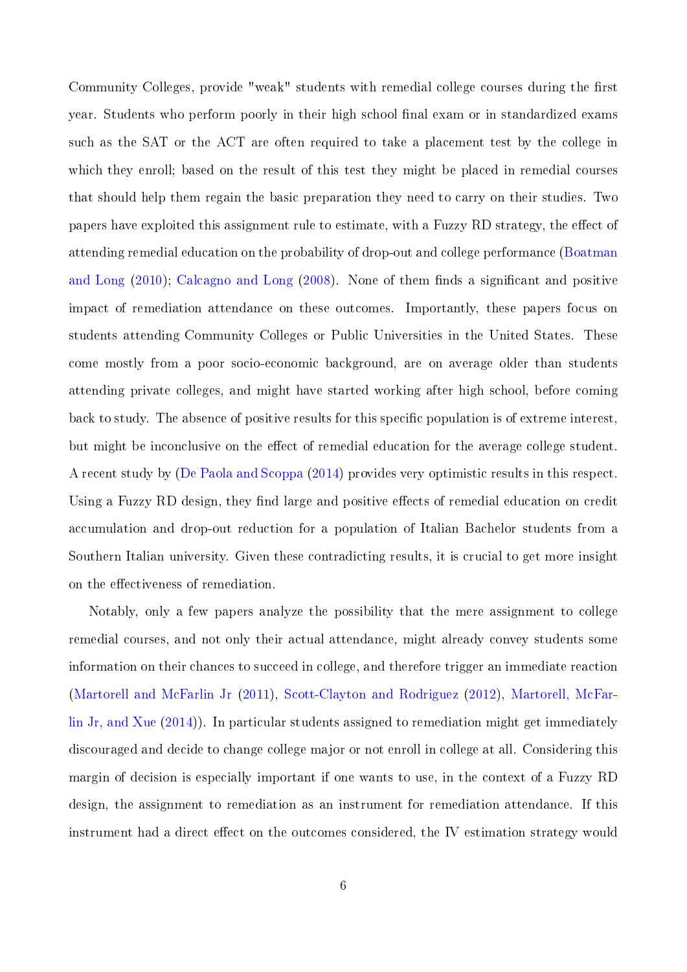Community Colleges, provide "weak" students with remedial college courses during the first year. Students who perform poorly in their high school final exam or in standardized exams such as the SAT or the ACT are often required to take a placement test by the college in which they enroll; based on the result of this test they might be placed in remedial courses that should help them regain the basic preparation they need to carry on their studies. Two papers have exploited this assignment rule to estimate, with a Fuzzy RD strategy, the effect of attending remedial education on the probability of drop-out and college performance [\(Boatman](#page-31-1) [and Long](#page-31-1)  $(2010)$ ; [Calcagno and Long](#page-31-2)  $(2008)$ . None of them finds a significant and positive impact of remediation attendance on these outcomes. Importantly, these papers focus on students attending Community Colleges or Public Universities in the United States. These come mostly from a poor socio-economic background, are on average older than students attending private colleges, and might have started working after high school, before coming back to study. The absence of positive results for this specific population is of extreme interest, but might be inconclusive on the effect of remedial education for the average college student. A recent study by [\(De Paola and Scoppa](#page-31-7) [\(2014\)](#page-31-7) provides very optimistic results in this respect. Using a Fuzzy RD design, they find large and positive effects of remedial education on credit accumulation and drop-out reduction for a population of Italian Bachelor students from a Southern Italian university. Given these contradicting results, it is crucial to get more insight on the effectiveness of remediation.

Notably, only a few papers analyze the possibility that the mere assignment to college remedial courses, and not only their actual attendance, might already convey students some information on their chances to succeed in college, and therefore trigger an immediate reaction [\(Martorell and McFarlin Jr](#page-32-4) [\(2011\)](#page-32-4), [Scott-Clayton and Rodriguez](#page-33-2) [\(2012\)](#page-33-2), [Martorell, McFar](#page-32-1)[lin Jr, and Xue](#page-32-1) [\(2014\)](#page-32-1)). In particular students assigned to remediation might get immediately discouraged and decide to change college major or not enroll in college at all. Considering this margin of decision is especially important if one wants to use, in the context of a Fuzzy RD design, the assignment to remediation as an instrument for remediation attendance. If this instrument had a direct effect on the outcomes considered, the IV estimation strategy would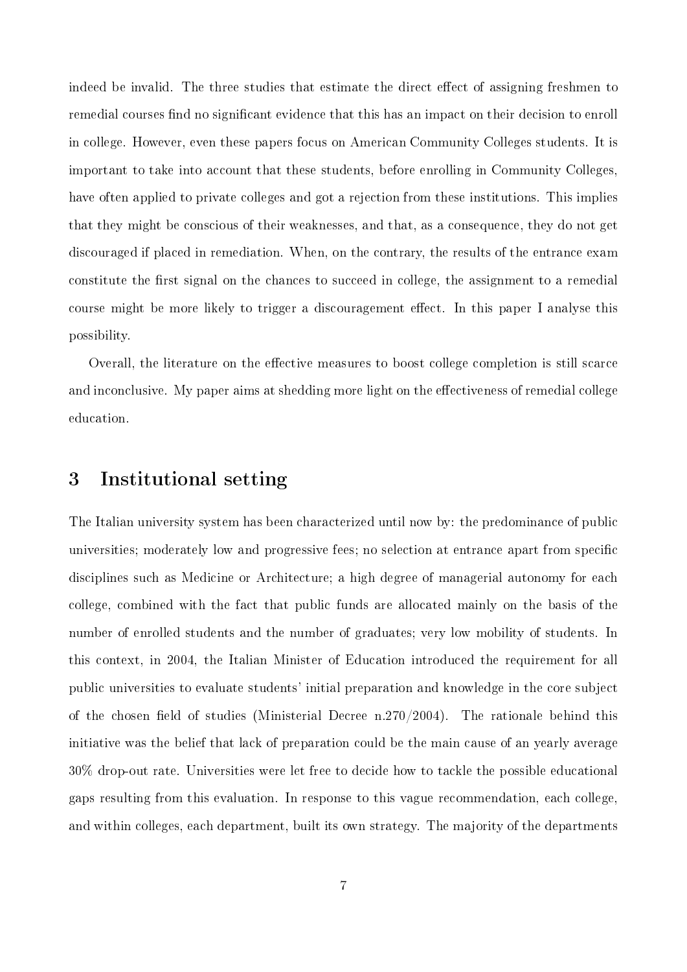indeed be invalid. The three studies that estimate the direct effect of assigning freshmen to remedial courses find no significant evidence that this has an impact on their decision to enroll in college. However, even these papers focus on American Community Colleges students. It is important to take into account that these students, before enrolling in Community Colleges, have often applied to private colleges and got a rejection from these institutions. This implies that they might be conscious of their weaknesses, and that, as a consequence, they do not get discouraged if placed in remediation. When, on the contrary, the results of the entrance exam constitute the first signal on the chances to succeed in college, the assignment to a remedial course might be more likely to trigger a discouragement effect. In this paper I analyse this possibility.

Overall, the literature on the effective measures to boost college completion is still scarce and inconclusive. My paper aims at shedding more light on the effectiveness of remedial college education.

### <span id="page-6-0"></span>3 Institutional setting

The Italian university system has been characterized until now by: the predominance of public universities; moderately low and progressive fees; no selection at entrance apart from specific disciplines such as Medicine or Architecture; a high degree of managerial autonomy for each college, combined with the fact that public funds are allocated mainly on the basis of the number of enrolled students and the number of graduates; very low mobility of students. In this context, in 2004, the Italian Minister of Education introduced the requirement for all public universities to evaluate students' initial preparation and knowledge in the core subject of the chosen field of studies (Ministerial Decree n.270/2004). The rationale behind this initiative was the belief that lack of preparation could be the main cause of an yearly average 30% drop-out rate. Universities were let free to decide how to tackle the possible educational gaps resulting from this evaluation. In response to this vague recommendation, each college, and within colleges, each department, built its own strategy. The majority of the departments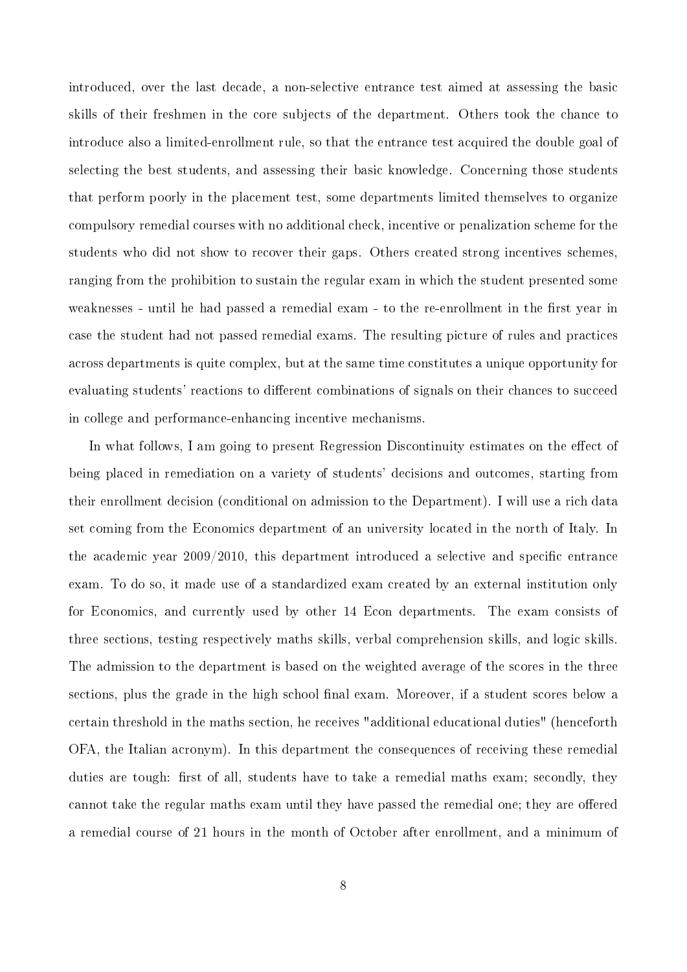introduced, over the last decade, a non-selective entrance test aimed at assessing the basic skills of their freshmen in the core subjects of the department. Others took the chance to introduce also a limited-enrollment rule, so that the entrance test acquired the double goal of selecting the best students, and assessing their basic knowledge. Concerning those students that perform poorly in the placement test, some departments limited themselves to organize compulsory remedial courses with no additional check, incentive or penalization scheme for the students who did not show to recover their gaps. Others created strong incentives schemes, ranging from the prohibition to sustain the regular exam in which the student presented some weaknesses - until he had passed a remedial exam - to the re-enrollment in the first year in case the student had not passed remedial exams. The resulting picture of rules and practices across departments is quite complex, but at the same time constitutes a unique opportunity for evaluating students' reactions to different combinations of signals on their chances to succeed in college and performance-enhancing incentive mechanisms.

In what follows, I am going to present Regression Discontinuity estimates on the effect of being placed in remediation on a variety of students' decisions and outcomes, starting from their enrollment decision (conditional on admission to the Department). I will use a rich data set coming from the Economics department of an university located in the north of Italy. In the academic year  $2009/2010$ , this department introduced a selective and specific entrance exam. To do so, it made use of a standardized exam created by an external institution only for Economics, and currently used by other 14 Econ departments. The exam consists of three sections, testing respectively maths skills, verbal comprehension skills, and logic skills. The admission to the department is based on the weighted average of the scores in the three sections, plus the grade in the high school final exam. Moreover, if a student scores below a certain threshold in the maths section, he receives "additional educational duties" (henceforth OFA, the Italian acronym). In this department the consequences of receiving these remedial duties are tough: first of all, students have to take a remedial maths exam; secondly, they cannot take the regular maths exam until they have passed the remedial one; they are offered a remedial course of 21 hours in the month of October after enrollment, and a minimum of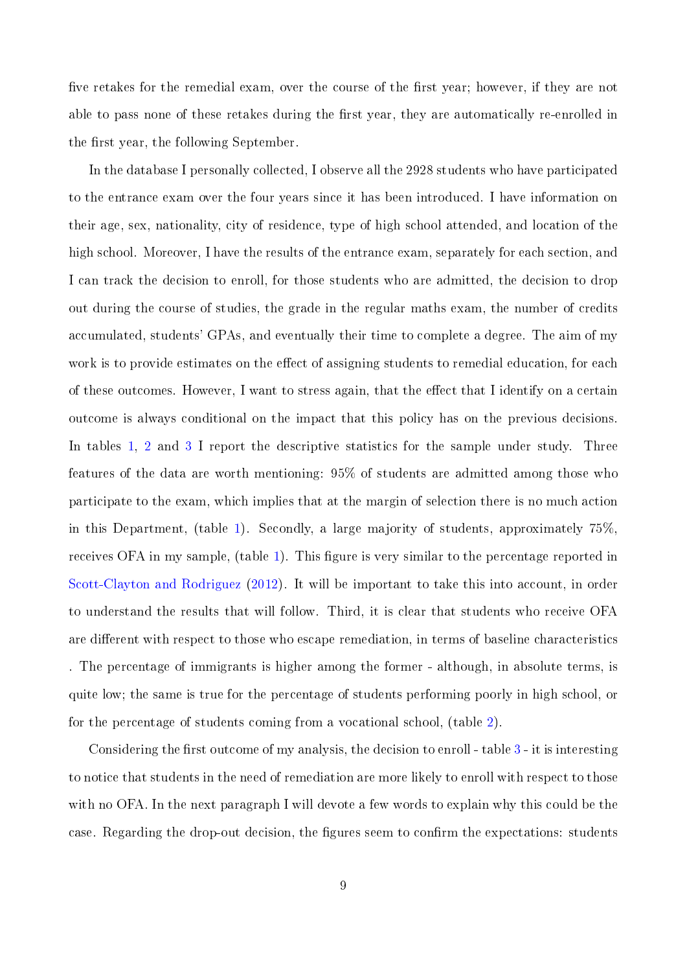five retakes for the remedial exam, over the course of the first year; however, if they are not able to pass none of these retakes during the first year, they are automatically re-enrolled in the first year, the following September.

In the database I personally collected, I observe all the 2928 students who have participated to the entrance exam over the four years since it has been introduced. I have information on their age, sex, nationality, city of residence, type of high school attended, and location of the high school. Moreover, I have the results of the entrance exam, separately for each section, and I can track the decision to enroll, for those students who are admitted, the decision to drop out during the course of studies, the grade in the regular maths exam, the number of credits accumulated, students' GPAs, and eventually their time to complete a degree. The aim of my work is to provide estimates on the effect of assigning students to remedial education, for each of these outcomes. However, I want to stress again, that the effect that I identify on a certain outcome is always conditional on the impact that this policy has on the previous decisions. In tables [1,](#page-22-0) [2](#page-22-1) and [3](#page-23-0) I report the descriptive statistics for the sample under study. Three features of the data are worth mentioning: 95% of students are admitted among those who participate to the exam, which implies that at the margin of selection there is no much action in this Department, (table [1\)](#page-22-0). Secondly, a large majority of students, approximately 75%, receives OFA in my sample, (table [1\)](#page-22-0). This figure is very similar to the percentage reported in [Scott-Clayton and Rodriguez](#page-33-2) [\(2012\)](#page-33-2). It will be important to take this into account, in order to understand the results that will follow. Third, it is clear that students who receive OFA are different with respect to those who escape remediation, in terms of baseline characteristics . The percentage of immigrants is higher among the former - although, in absolute terms, is quite low; the same is true for the percentage of students performing poorly in high school, or for the percentage of students coming from a vocational school, (table [2\)](#page-22-1).

Considering the first outcome of my analysis, the decision to enroll - table  $3$  - it is interesting to notice that students in the need of remediation are more likely to enroll with respect to those with no OFA. In the next paragraph I will devote a few words to explain why this could be the case. Regarding the drop-out decision, the figures seem to confirm the expectations: students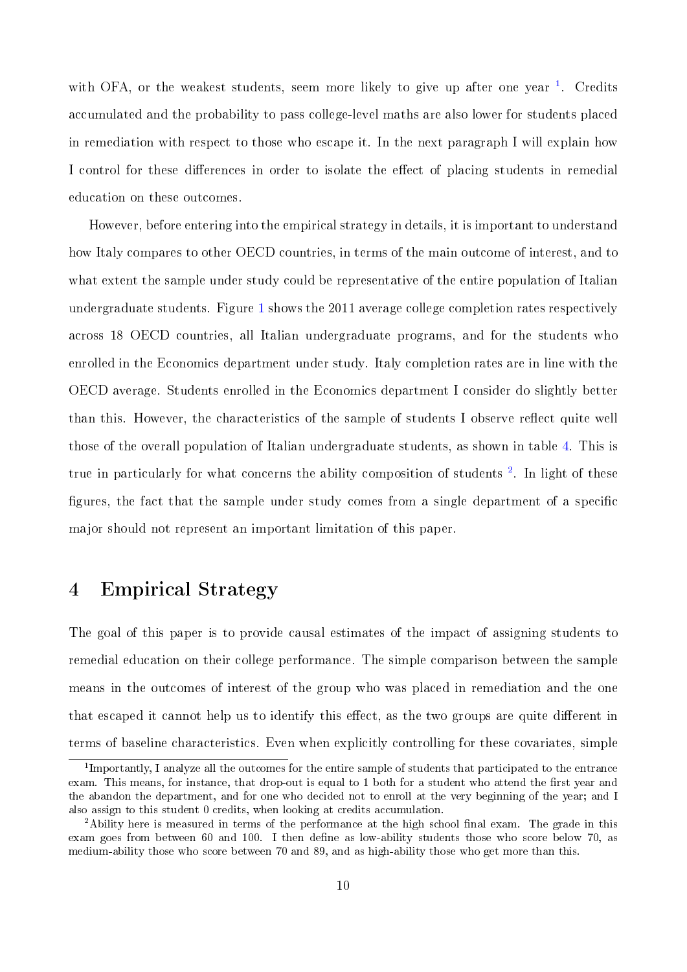with OFA, or the weakest students, seem more likely to give up after one year  $1$ . Credits accumulated and the probability to pass college-level maths are also lower for students placed in remediation with respect to those who escape it. In the next paragraph I will explain how I control for these differences in order to isolate the effect of placing students in remedial education on these outcomes.

However, before entering into the empirical strategy in details, it is important to understand how Italy compares to other OECD countries, in terms of the main outcome of interest, and to what extent the sample under study could be representative of the entire population of Italian undergraduate students. Figure [1](#page-23-1) shows the 2011 average college completion rates respectively across 18 OECD countries, all Italian undergraduate programs, and for the students who enrolled in the Economics department under study. Italy completion rates are in line with the OECD average. Students enrolled in the Economics department I consider do slightly better than this. However, the characteristics of the sample of students I observe reflect quite well those of the overall population of Italian undergraduate students, as shown in table [4.](#page-24-0) This is true in particularly for what concerns the ability composition of students<sup>[2](#page-0-0)</sup>. In light of these figures, the fact that the sample under study comes from a single department of a specific major should not represent an important limitation of this paper.

## <span id="page-9-0"></span>4 Empirical Strategy

The goal of this paper is to provide causal estimates of the impact of assigning students to remedial education on their college performance. The simple comparison between the sample means in the outcomes of interest of the group who was placed in remediation and the one that escaped it cannot help us to identify this effect, as the two groups are quite different in terms of baseline characteristics. Even when explicitly controlling for these covariates, simple

<sup>&</sup>lt;sup>1</sup>Importantly, I analyze all the outcomes for the entire sample of students that participated to the entrance exam. This means, for instance, that drop-out is equal to 1 both for a student who attend the first year and the abandon the department, and for one who decided not to enroll at the very beginning of the year; and I also assign to this student 0 credits, when looking at credits accumulation.

<sup>&</sup>lt;sup>2</sup>Ability here is measured in terms of the performance at the high school final exam. The grade in this exam goes from between 60 and 100. I then define as low-ability students those who score below 70, as medium-ability those who score between 70 and 89, and as high-ability those who get more than this.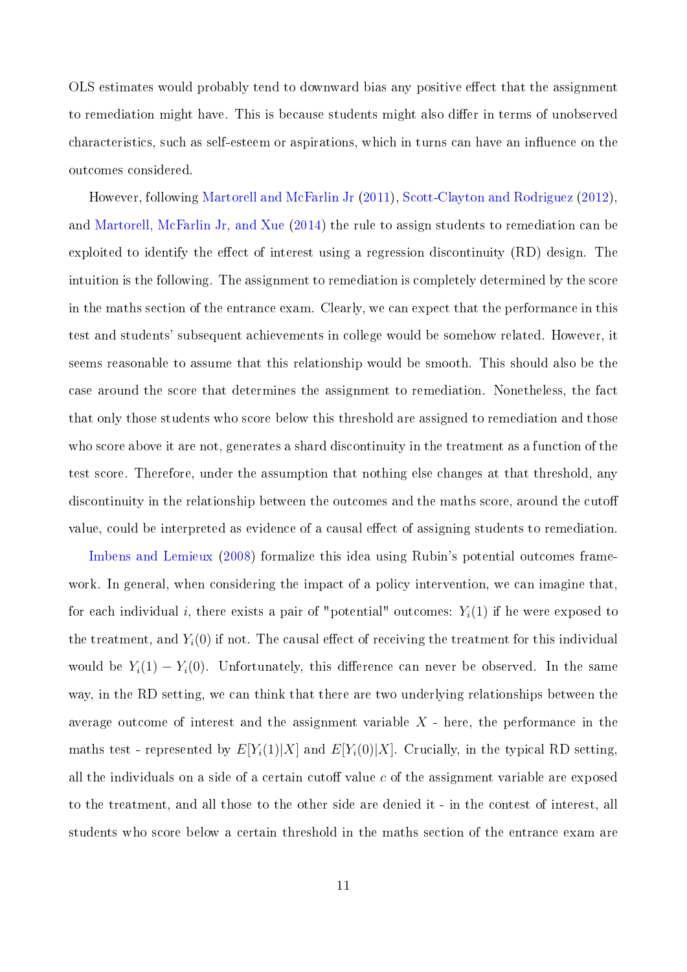OLS estimates would probably tend to downward bias any positive effect that the assignment to remediation might have. This is because students might also differ in terms of unobserved characteristics, such as self-esteem or aspirations, which in turns can have an influence on the outcomes considered.

However, following [Martorell and McFarlin Jr](#page-32-4) [\(2011\)](#page-32-4), [Scott-Clayton and Rodriguez](#page-33-2) [\(2012\)](#page-33-2), and [Martorell, McFarlin Jr, and Xue](#page-32-1) [\(2014\)](#page-32-1) the rule to assign students to remediation can be exploited to identify the effect of interest using a regression discontinuity (RD) design. The intuition is the following. The assignment to remediation is completely determined by the score in the maths section of the entrance exam. Clearly, we can expect that the performance in this test and students' subsequent achievements in college would be somehow related. However, it seems reasonable to assume that this relationship would be smooth. This should also be the case around the score that determines the assignment to remediation. Nonetheless, the fact that only those students who score below this threshold are assigned to remediation and those who score above it are not, generates a shard discontinuity in the treatment as a function of the test score. Therefore, under the assumption that nothing else changes at that threshold, any discontinuity in the relationship between the outcomes and the maths score, around the cutoff value, could be interpreted as evidence of a causal effect of assigning students to remediation.

[Imbens and Lemieux](#page-32-5) [\(2008\)](#page-32-5) formalize this idea using Rubin's potential outcomes framework. In general, when considering the impact of a policy intervention, we can imagine that for each individual i, there exists a pair of "potential" outcomes:  $Y_i(1)$  if he were exposed to the treatment, and  $Y_i(0)$  if not. The causal effect of receiving the treatment for this individual would be  $Y_i(1) - Y_i(0)$ . Unfortunately, this difference can never be observed. In the same way, in the RD setting, we can think that there are two underlying relationships between the average outcome of interest and the assignment variable  $X$  - here, the performance in the maths test - represented by  $E[Y_i(1)|X]$  and  $E[Y_i(0)|X]$ . Crucially, in the typical RD setting all the individuals on a side of a certain cutoff value  $c$  of the assignment variable are exposed to the treatment, and all those to the other side are denied it - in the contest of interest, all students who score below a certain threshold in the maths section of the entrance exam are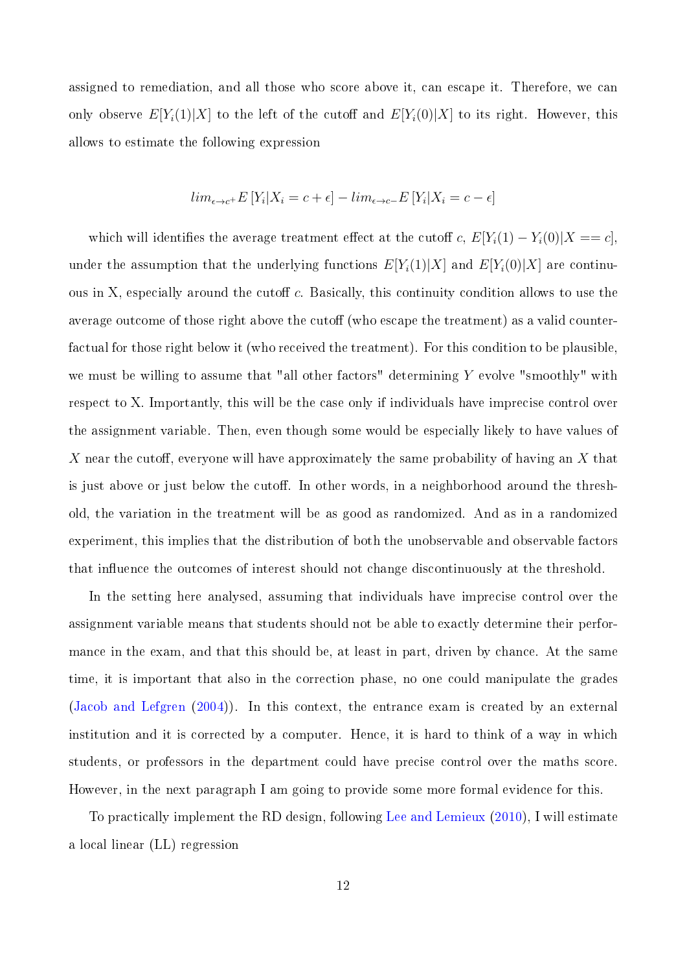assigned to remediation, and all those who score above it, can escape it. Therefore, we can only observe  $E[Y_i(1)|X]$  to the left of the cutoff and  $E[Y_i(0)|X]$  to its right. However, this allows to estimate the following expression

$$
lim_{\epsilon \to c^{+}} E[Y_{i}|X_{i} = c + \epsilon] - lim_{\epsilon \to c^{-}} E[Y_{i}|X_{i} = c - \epsilon]
$$

which will identifies the average treatment effect at the cutoff c,  $E[Y_i(1) - Y_i(0)|X == c]$ under the assumption that the underlying functions  $E[Y_i(1)|X]$  and  $E[Y_i(0)|X]$  are continuous in X, especially around the cutoff  $c$ . Basically, this continuity condition allows to use the average outcome of those right above the cutoff (who escape the treatment) as a valid counterfactual for those right below it (who received the treatment). For this condition to be plausible, we must be willing to assume that "all other factors" determining  $Y$  evolve "smoothly" with respect to X. Importantly, this will be the case only if individuals have imprecise control over the assignment variable. Then, even though some would be especially likely to have values of X near the cutoff, everyone will have approximately the same probability of having an X that is just above or just below the cutoff. In other words, in a neighborhood around the threshold, the variation in the treatment will be as good as randomized. And as in a randomized experiment, this implies that the distribution of both the unobservable and observable factors that influence the outcomes of interest should not change discontinuously at the threshold.

In the setting here analysed, assuming that individuals have imprecise control over the assignment variable means that students should not be able to exactly determine their performance in the exam, and that this should be, at least in part, driven by chance. At the same time, it is important that also in the correction phase, no one could manipulate the grades [\(Jacob and Lefgren](#page-32-6) [\(2004\)](#page-32-6)). In this context, the entrance exam is created by an external institution and it is corrected by a computer. Hence, it is hard to think of a way in which students, or professors in the department could have precise control over the maths score. However, in the next paragraph I am going to provide some more formal evidence for this.

To practically implement the RD design, following [Lee and Lemieux](#page-32-7) [\(2010\)](#page-32-7), I will estimate a local linear (LL) regression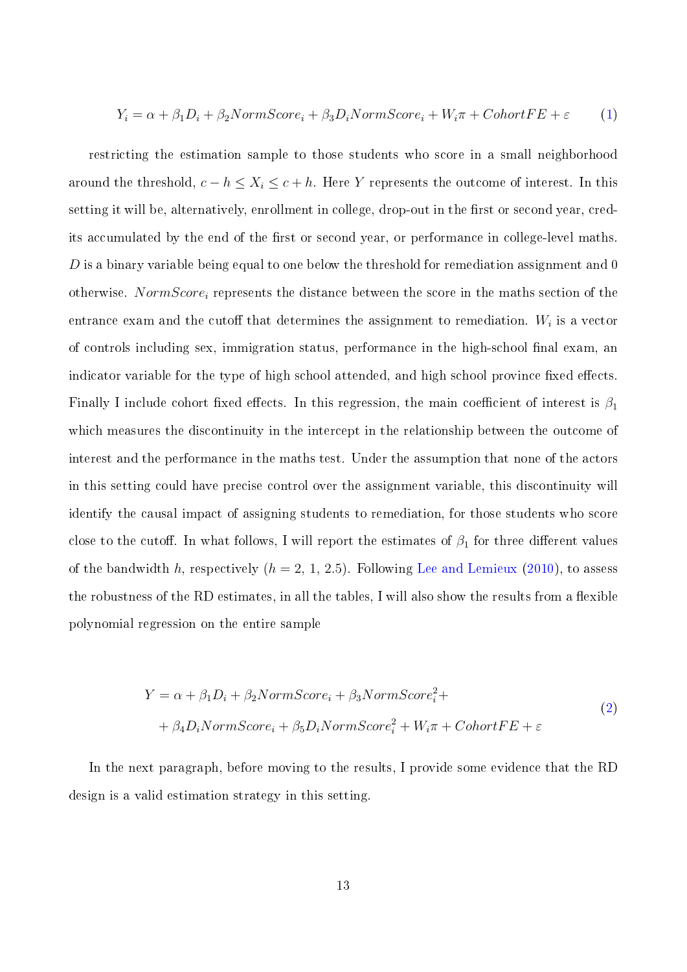$$
Y_i = \alpha + \beta_1 D_i + \beta_2 NormScore_i + \beta_3 D_i NormScore_i + W_i \pi + CohortFE + \varepsilon
$$
 (1)

restricting the estimation sample to those students who score in a small neighborhood around the threshold,  $c - h \leq X_i \leq c + h$ . Here Y represents the outcome of interest. In this setting it will be, alternatively, enrollment in college, drop-out in the first or second year, credits accumulated by the end of the first or second year, or performance in college-level maths.  $D$  is a binary variable being equal to one below the threshold for remediation assignment and 0 otherwise. NormScore<sub>i</sub> represents the distance between the score in the maths section of the entrance exam and the cutoff that determines the assignment to remediation.  $W_i$  is a vector of controls including sex, immigration status, performance in the high-school final exam, an indicator variable for the type of high school attended, and high school province fixed effects. Finally I include cohort fixed effects. In this regression, the main coefficient of interest is  $\beta_1$ which measures the discontinuity in the intercept in the relationship between the outcome of interest and the performance in the maths test. Under the assumption that none of the actors in this setting could have precise control over the assignment variable, this discontinuity will identify the causal impact of assigning students to remediation, for those students who score close to the cutoff. In what follows, I will report the estimates of  $\beta_1$  for three different values of the bandwidth h, respectively  $(h = 2, 1, 2.5)$ . Following [Lee and Lemieux](#page-32-7) [\(2010\)](#page-32-7), to assess the robustness of the RD estimates, in all the tables, I will also show the results from a flexible polynomial regression on the entire sample

$$
Y = \alpha + \beta_1 D_i + \beta_2 NormScore_i + \beta_3 NormScore_i^2 +
$$
  
+  $\beta_4 D_i NormScore_i + \beta_5 D_i NormScore_i^2 + W_i \pi + CohortFE + \varepsilon$  (2)

In the next paragraph, before moving to the results, I provide some evidence that the RD design is a valid estimation strategy in this setting.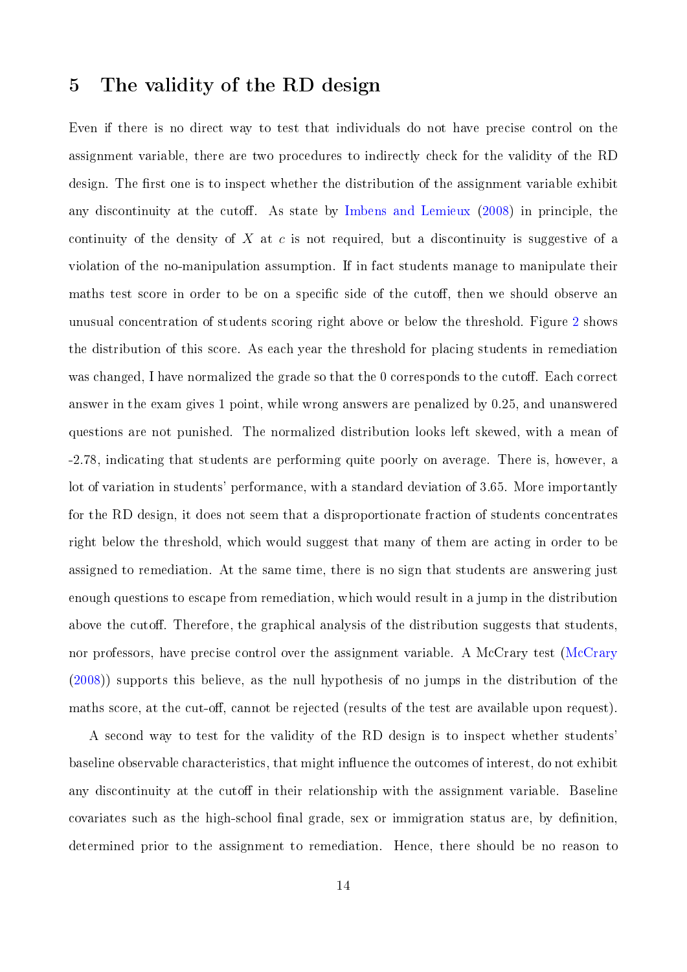## <span id="page-13-0"></span>5 The validity of the RD design

Even if there is no direct way to test that individuals do not have precise control on the assignment variable, there are two procedures to indirectly check for the validity of the RD design. The first one is to inspect whether the distribution of the assignment variable exhibit any discontinuity at the cutoff. As state by [Imbens and Lemieux](#page-32-5)  $(2008)$  in principle, the continuity of the density of X at c is not required, but a discontinuity is suggestive of a violation of the no-manipulation assumption. If in fact students manage to manipulate their maths test score in order to be on a specific side of the cutoff, then we should observe an unusual concentration of students scoring right above or below the threshold. Figure [2](#page-24-1) shows the distribution of this score. As each year the threshold for placing students in remediation was changed, I have normalized the grade so that the 0 corresponds to the cutoff. Each correct answer in the exam gives 1 point, while wrong answers are penalized by 0.25, and unanswered questions are not punished. The normalized distribution looks left skewed, with a mean of -2.78, indicating that students are performing quite poorly on average. There is, however, a lot of variation in students' performance, with a standard deviation of 3.65. More importantly for the RD design, it does not seem that a disproportionate fraction of students concentrates right below the threshold, which would suggest that many of them are acting in order to be assigned to remediation. At the same time, there is no sign that students are answering just enough questions to escape from remediation, which would result in a jump in the distribution above the cutoff. Therefore, the graphical analysis of the distribution suggests that students. nor professors, have precise control over the assignment variable. A McCrary test [\(McCrary](#page-32-8) [\(2008\)](#page-32-8)) supports this believe, as the null hypothesis of no jumps in the distribution of the maths score, at the cut-off, cannot be rejected (results of the test are available upon request).

A second way to test for the validity of the RD design is to inspect whether students' baseline observable characteristics, that might influence the outcomes of interest, do not exhibit any discontinuity at the cutoff in their relationship with the assignment variable. Baseline covariates such as the high-school final grade, sex or immigration status are, by definition, determined prior to the assignment to remediation. Hence, there should be no reason to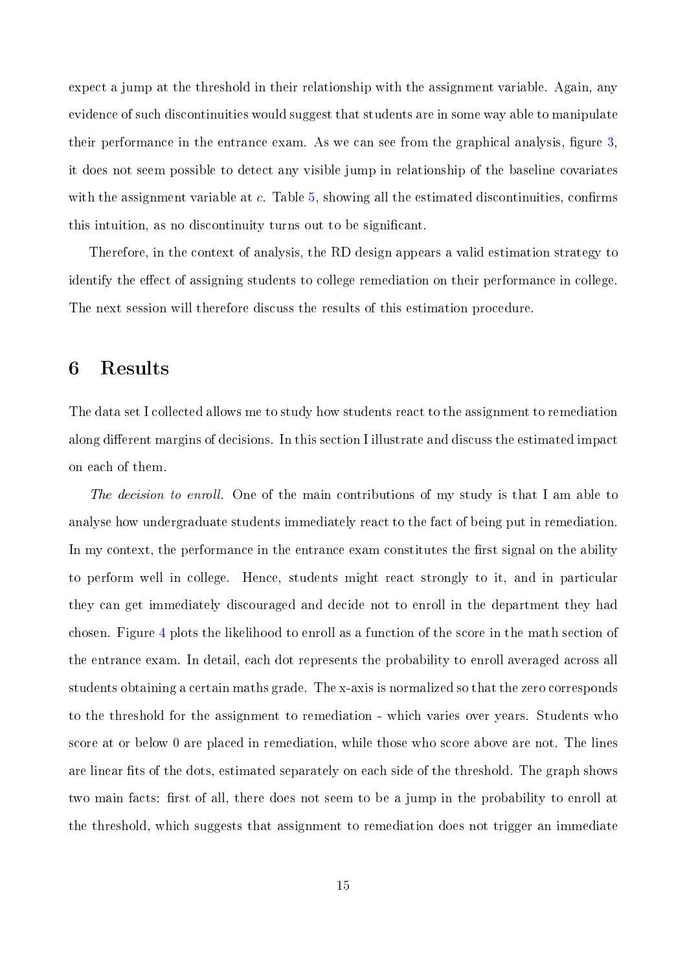expect a jump at the threshold in their relationship with the assignment variable. Again, any evidence of such discontinuities would suggest that students are in some way able to manipulate their performance in the entrance exam. As we can see from the graphical analysis, figure  $3$ . it does not seem possible to detect any visible jump in relationship of the baseline covariates with the assignment variable at  $c$ . Table [5,](#page-25-1) showing all the estimated discontinuities, confirms this intuition, as no discontinuity turns out to be signicant.

Therefore, in the context of analysis, the RD design appears a valid estimation strategy to identify the effect of assigning students to college remediation on their performance in college. The next session will therefore discuss the results of this estimation procedure.

#### <span id="page-14-0"></span>6 Results

The data set I collected allows me to study how students react to the assignment to remediation along different margins of decisions. In this section I illustrate and discuss the estimated impact on each of them.

The decision to enroll. One of the main contributions of my study is that I am able to analyse how undergraduate students immediately react to the fact of being put in remediation. In my context, the performance in the entrance exam constitutes the first signal on the ability to perform well in college. Hence, students might react strongly to it, and in particular they can get immediately discouraged and decide not to enroll in the department they had chosen. Figure [4](#page-26-0) plots the likelihood to enroll as a function of the score in the math section of the entrance exam. In detail, each dot represents the probability to enroll averaged across all students obtaining a certain maths grade. The x-axis is normalized so that the zero corresponds to the threshold for the assignment to remediation - which varies over years. Students who score at or below 0 are placed in remediation, while those who score above are not. The lines are linear fits of the dots, estimated separately on each side of the threshold. The graph shows two main facts: first of all, there does not seem to be a jump in the probability to enroll at the threshold, which suggests that assignment to remediation does not trigger an immediate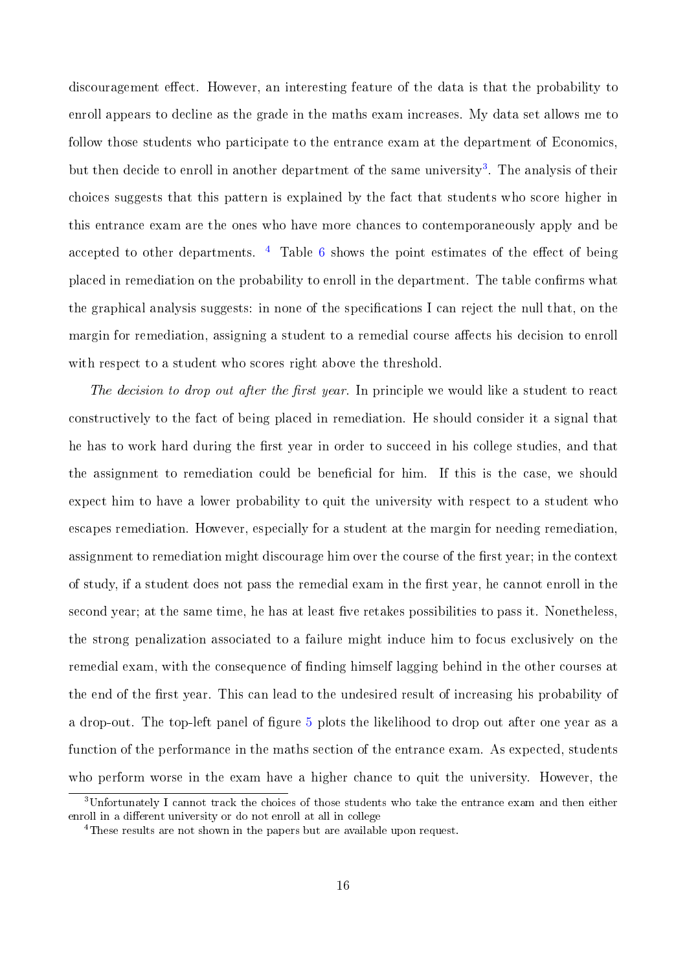discouragement effect. However, an interesting feature of the data is that the probability to enroll appears to decline as the grade in the maths exam increases. My data set allows me to follow those students who participate to the entrance exam at the department of Economics, but then decide to enroll in another department of the same university<sup>[3](#page-0-0)</sup>. The analysis of their choices suggests that this pattern is explained by the fact that students who score higher in this entrance exam are the ones who have more chances to contemporaneously apply and be accepted to other departments.  $4$  Table [6](#page-26-1) shows the point estimates of the effect of being placed in remediation on the probability to enroll in the department. The table confirms what the graphical analysis suggests: in none of the specifications I can reject the null that, on the margin for remediation, assigning a student to a remedial course affects his decision to enroll with respect to a student who scores right above the threshold.

The decision to drop out after the first year. In principle we would like a student to react constructively to the fact of being placed in remediation. He should consider it a signal that he has to work hard during the first year in order to succeed in his college studies, and that the assignment to remediation could be beneficial for him. If this is the case, we should expect him to have a lower probability to quit the university with respect to a student who escapes remediation. However, especially for a student at the margin for needing remediation, assignment to remediation might discourage him over the course of the first year; in the context of study, if a student does not pass the remedial exam in the first year, he cannot enroll in the second year; at the same time, he has at least five retakes possibilities to pass it. Nonetheless, the strong penalization associated to a failure might induce him to focus exclusively on the remedial exam, with the consequence of finding himself lagging behind in the other courses at the end of the first year. This can lead to the undesired result of increasing his probability of a drop-out. The top-left panel of figure [5](#page-27-0) plots the likelihood to drop out after one year as a function of the performance in the maths section of the entrance exam. As expected, students who perform worse in the exam have a higher chance to quit the university. However, the

<sup>3</sup>Unfortunately I cannot track the choices of those students who take the entrance exam and then either enroll in a different university or do not enroll at all in college

<sup>4</sup>These results are not shown in the papers but are available upon request.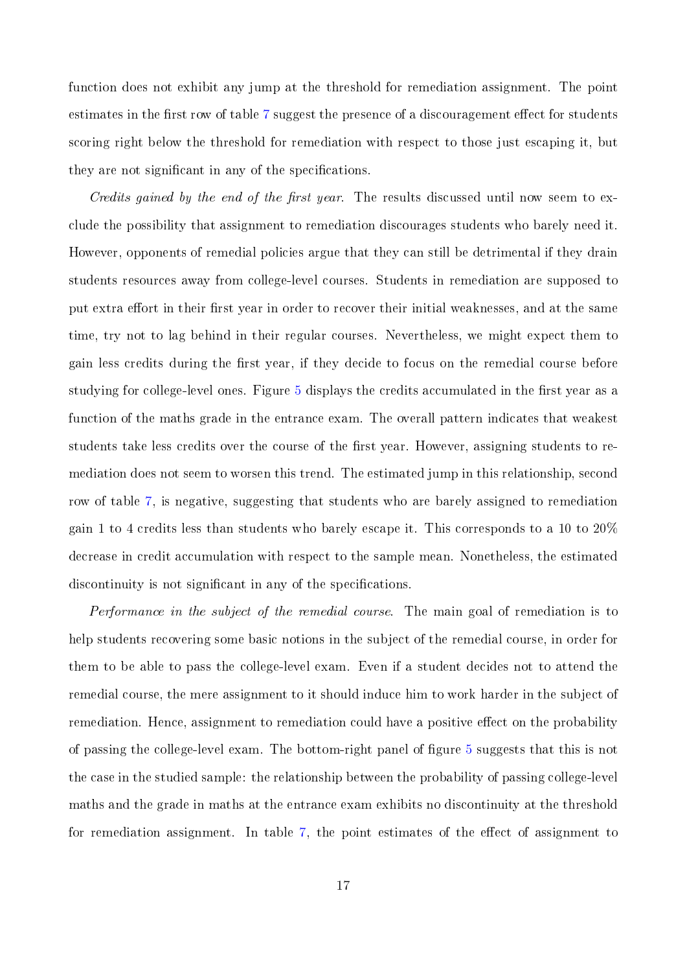function does not exhibit any jump at the threshold for remediation assignment. The point estimates in the first row of table [7](#page-28-0) suggest the presence of a discouragement effect for students scoring right below the threshold for remediation with respect to those just escaping it, but they are not significant in any of the specifications.

Credits gained by the end of the first year. The results discussed until now seem to exclude the possibility that assignment to remediation discourages students who barely need it. However, opponents of remedial policies argue that they can still be detrimental if they drain students resources away from college-level courses. Students in remediation are supposed to put extra effort in their first year in order to recover their initial weaknesses, and at the same time, try not to lag behind in their regular courses. Nevertheless, we might expect them to gain less credits during the first year, if they decide to focus on the remedial course before studying for college-level ones. Figure [5](#page-27-0) displays the credits accumulated in the first year as a function of the maths grade in the entrance exam. The overall pattern indicates that weakest students take less credits over the course of the first year. However, assigning students to remediation does not seem to worsen this trend. The estimated jump in this relationship, second row of table [7,](#page-28-0) is negative, suggesting that students who are barely assigned to remediation gain 1 to 4 credits less than students who barely escape it. This corresponds to a 10 to 20% decrease in credit accumulation with respect to the sample mean. Nonetheless, the estimated discontinuity is not significant in any of the specifications.

Performance in the subject of the remedial course. The main goal of remediation is to help students recovering some basic notions in the subject of the remedial course, in order for them to be able to pass the college-level exam. Even if a student decides not to attend the remedial course, the mere assignment to it should induce him to work harder in the subject of remediation. Hence, assignment to remediation could have a positive effect on the probability of passing the college-level exam. The bottom-right panel of figure [5](#page-27-0) suggests that this is not the case in the studied sample: the relationship between the probability of passing college-level maths and the grade in maths at the entrance exam exhibits no discontinuity at the threshold for remediation assignment. In table  $7$ , the point estimates of the effect of assignment to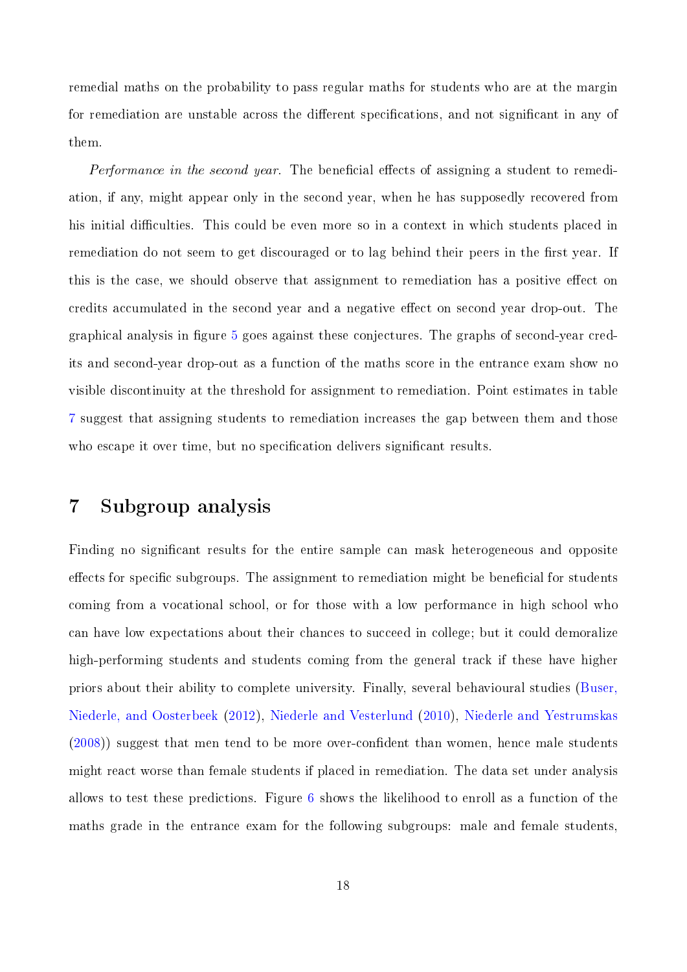remedial maths on the probability to pass regular maths for students who are at the margin for remediation are unstable across the different specifications, and not significant in any of them.

Performance in the second year. The beneficial effects of assigning a student to remediation, if any, might appear only in the second year, when he has supposedly recovered from his initial difficulties. This could be even more so in a context in which students placed in remediation do not seem to get discouraged or to lag behind their peers in the first year. If this is the case, we should observe that assignment to remediation has a positive effect on credits accumulated in the second year and a negative effect on second year drop-out. The graphical analysis in figure [5](#page-27-0) goes against these conjectures. The graphs of second-year credits and second-year drop-out as a function of the maths score in the entrance exam show no visible discontinuity at the threshold for assignment to remediation. Point estimates in table [7](#page-28-0) suggest that assigning students to remediation increases the gap between them and those who escape it over time, but no specification delivers significant results.

## <span id="page-17-0"></span>7 Subgroup analysis

Finding no signicant results for the entire sample can mask heterogeneous and opposite effects for specific subgroups. The assignment to remediation might be beneficial for students coming from a vocational school, or for those with a low performance in high school who can have low expectations about their chances to succeed in college; but it could demoralize high-performing students and students coming from the general track if these have higher priors about their ability to complete university. Finally, several behavioural studies [\(Buser,](#page-31-8) [Niederle, and Oosterbeek](#page-31-8) [\(2012\)](#page-31-8), [Niederle and Vesterlund](#page-32-9) [\(2010\)](#page-32-9), [Niederle and Yestrumskas](#page-33-6) [\(2008\)](#page-33-6)) suggest that men tend to be more over-confident than women, hence male students might react worse than female students if placed in remediation. The data set under analysis allows to test these predictions. Figure [6](#page-29-0) shows the likelihood to enroll as a function of the maths grade in the entrance exam for the following subgroups: male and female students,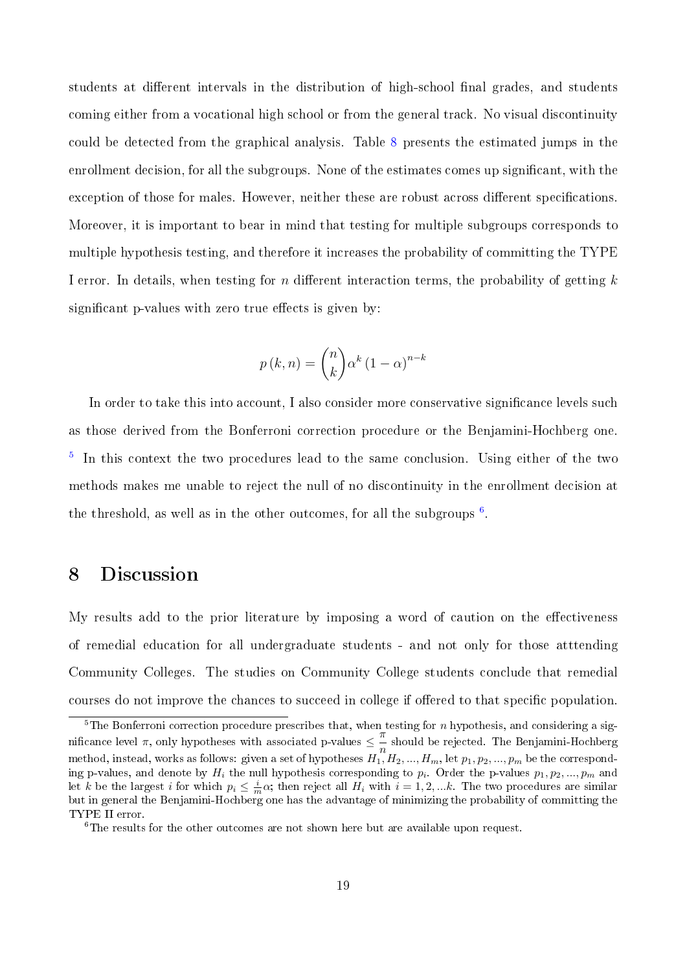students at different intervals in the distribution of high-school final grades, and students coming either from a vocational high school or from the general track. No visual discontinuity could be detected from the graphical analysis. Table [8](#page-30-0) presents the estimated jumps in the enrollment decision, for all the subgroups. None of the estimates comes up significant, with the exception of those for males. However, neither these are robust across different specifications. Moreover, it is important to bear in mind that testing for multiple subgroups corresponds to multiple hypothesis testing, and therefore it increases the probability of committing the TYPE I error. In details, when testing for n different interaction terms, the probability of getting  $k$ significant p-values with zero true effects is given by:

$$
p(k, n) = {n \choose k} \alpha^{k} (1 - \alpha)^{n-k}
$$

In order to take this into account, I also consider more conservative significance levels such as those derived from the Bonferroni correction procedure or the Benjamini-Hochberg one. <sup>[5](#page-0-0)</sup> In this context the two procedures lead to the same conclusion. Using either of the two methods makes me unable to reject the null of no discontinuity in the enrollment decision at the threshold, as well as in the other outcomes, for all the subgroups  $6$ .

#### <span id="page-18-0"></span>8 Discussion

My results add to the prior literature by imposing a word of caution on the effectiveness of remedial education for all undergraduate students - and not only for those atttending Community Colleges. The studies on Community College students conclude that remedial courses do not improve the chances to succeed in college if offered to that specific population.

 $5$ The Bonferroni correction procedure prescribes that, when testing for n hypothesis, and considering a significance level  $\pi$ , only hypotheses with associated p-values  $\leq \frac{\pi}{4}$  $\frac{n}{n}$  should be rejected. The Benjamini-Hochberg method, instead, works as follows: given a set of hypotheses  $H_1,H_2,...,H_m,$  let  $p_1,p_2,...,p_m$  be the corresponding p-values, and denote by  $H_i$  the null hypothesis corresponding to  $p_i$ . Order the p-values  $p_1, p_2, ..., p_m$  and let k be the largest i for which  $p_i \leq \frac{i}{m}\alpha$ ; then reject all  $H_i$  with  $i = 1, 2, ...k$ . The two procedures are similar but in general the Benjamini-Hochberg one has the advantage of minimizing the probability of committing the TYPE II error.

<sup>&</sup>lt;sup>6</sup>The results for the other outcomes are not shown here but are available upon request.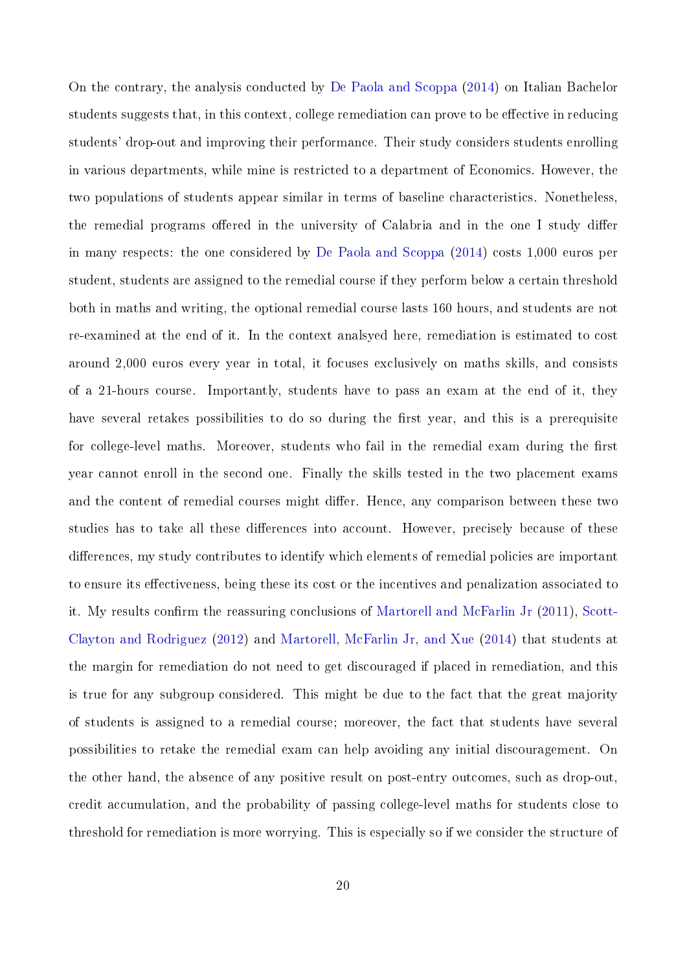On the contrary, the analysis conducted by [De Paola and Scoppa](#page-31-7) [\(2014\)](#page-31-7) on Italian Bachelor students suggests that, in this context, college remediation can prove to be effective in reducing students' drop-out and improving their performance. Their study considers students enrolling in various departments, while mine is restricted to a department of Economics. However, the two populations of students appear similar in terms of baseline characteristics. Nonetheless, the remedial programs offered in the university of Calabria and in the one I study differ in many respects: the one considered by [De Paola and Scoppa](#page-31-7) [\(2014\)](#page-31-7) costs 1,000 euros per student, students are assigned to the remedial course if they perform below a certain threshold both in maths and writing, the optional remedial course lasts 160 hours, and students are not re-examined at the end of it. In the context analsyed here, remediation is estimated to cost around 2,000 euros every year in total, it focuses exclusively on maths skills, and consists of a 21-hours course. Importantly, students have to pass an exam at the end of it, they have several retakes possibilities to do so during the first year, and this is a prerequisite for college-level maths. Moreover, students who fail in the remedial exam during the first year cannot enroll in the second one. Finally the skills tested in the two placement exams and the content of remedial courses might differ. Hence, any comparison between these two studies has to take all these differences into account. However, precisely because of these differences, my study contributes to identify which elements of remedial policies are important to ensure its effectiveness, being these its cost or the incentives and penalization associated to it. My results confirm the reassuring conclusions of [Martorell and McFarlin Jr](#page-32-4) [\(2011\)](#page-32-4), [Scott-](#page-33-2)[Clayton and Rodriguez](#page-33-2) [\(2012\)](#page-33-2) and [Martorell, McFarlin Jr, and Xue](#page-32-1) [\(2014\)](#page-32-1) that students at the margin for remediation do not need to get discouraged if placed in remediation, and this is true for any subgroup considered. This might be due to the fact that the great majority of students is assigned to a remedial course; moreover, the fact that students have several possibilities to retake the remedial exam can help avoiding any initial discouragement. On the other hand, the absence of any positive result on post-entry outcomes, such as drop-out, credit accumulation, and the probability of passing college-level maths for students close to threshold for remediation is more worrying. This is especially so if we consider the structure of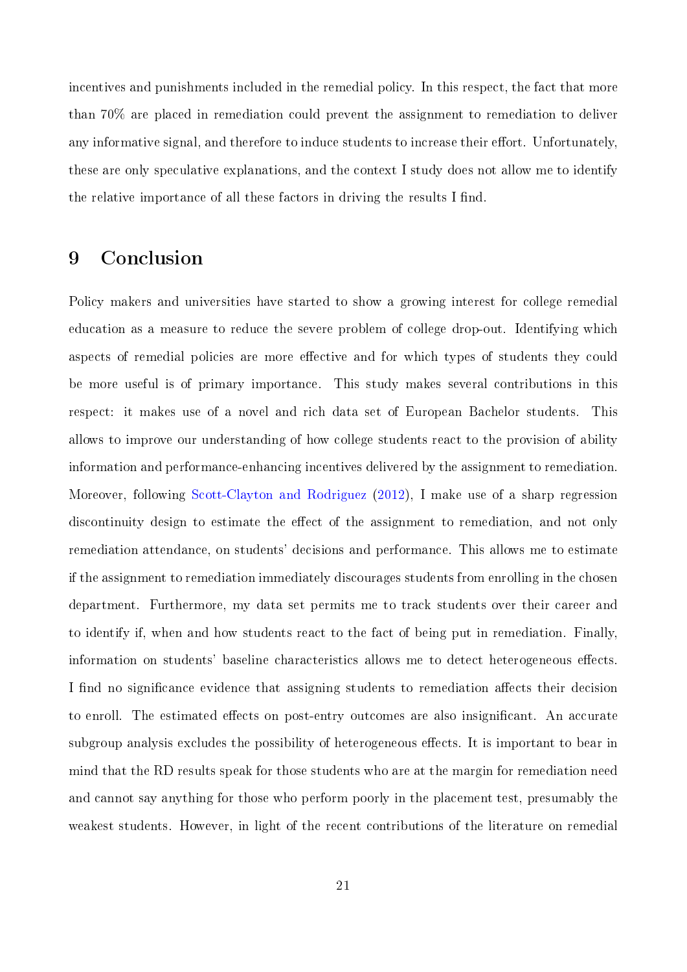incentives and punishments included in the remedial policy. In this respect, the fact that more than 70% are placed in remediation could prevent the assignment to remediation to deliver any informative signal, and therefore to induce students to increase their effort. Unfortunately, these are only speculative explanations, and the context I study does not allow me to identify the relative importance of all these factors in driving the results I find.

### 9 Conclusion

Policy makers and universities have started to show a growing interest for college remedial education as a measure to reduce the severe problem of college drop-out. Identifying which aspects of remedial policies are more effective and for which types of students they could be more useful is of primary importance. This study makes several contributions in this respect: it makes use of a novel and rich data set of European Bachelor students. This allows to improve our understanding of how college students react to the provision of ability information and performance-enhancing incentives delivered by the assignment to remediation. Moreover, following [Scott-Clayton and Rodriguez](#page-33-2) [\(2012\)](#page-33-2), I make use of a sharp regression discontinuity design to estimate the effect of the assignment to remediation, and not only remediation attendance, on students' decisions and performance. This allows me to estimate if the assignment to remediation immediately discourages students from enrolling in the chosen department. Furthermore, my data set permits me to track students over their career and to identify if, when and how students react to the fact of being put in remediation. Finally, information on students' baseline characteristics allows me to detect heterogeneous effects. I find no significance evidence that assigning students to remediation affects their decision to enroll. The estimated effects on post-entry outcomes are also insignificant. An accurate subgroup analysis excludes the possibility of heterogeneous effects. It is important to bear in mind that the RD results speak for those students who are at the margin for remediation need and cannot say anything for those who perform poorly in the placement test, presumably the weakest students. However, in light of the recent contributions of the literature on remedial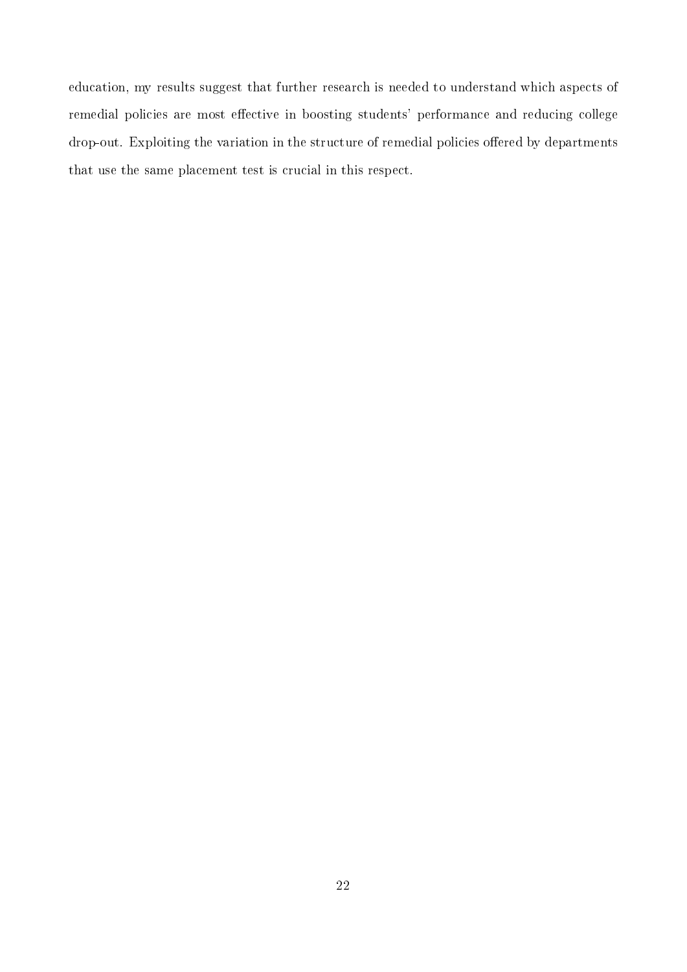education, my results suggest that further research is needed to understand which aspects of remedial policies are most effective in boosting students' performance and reducing college drop-out. Exploiting the variation in the structure of remedial policies offered by departments that use the same placement test is crucial in this respect.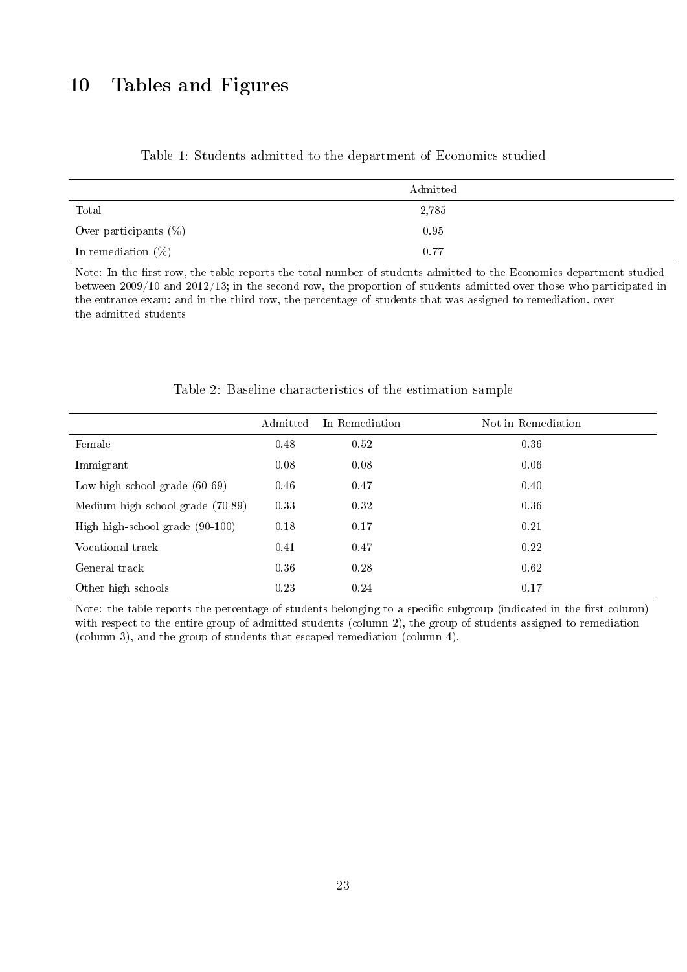# 10 Tables and Figures

<span id="page-22-0"></span>

|                          | Admitted |
|--------------------------|----------|
| Total                    | 2,785    |
| Over participants $(\%)$ | 0.95     |
| In remediation $(\%)$    | 0.77     |

Table 1: Students admitted to the department of Economics studied

Note: In the first row, the table reports the total number of students admitted to the Economics department studied between 2009/10 and 2012/13; in the second row, the proportion of students admitted over those who participated in the entrance exam; and in the third row, the percentage of students that was assigned to remediation, over the admitted students

<span id="page-22-1"></span>

|                                  | Admitted | In Remediation | Not in Remediation |
|----------------------------------|----------|----------------|--------------------|
| Female                           | 0.48     | 0.52           | 0.36               |
| Immigrant                        | 0.08     | 0.08           | 0.06               |
| Low high-school grade $(60-69)$  | 0.46     | 0.47           | 0.40               |
| Medium high-school grade (70-89) | 0.33     | 0.32           | 0.36               |
| High high-school grade (90-100)  | 0.18     | 0.17           | 0.21               |
| Vocational track                 | 0.41     | 0.47           | 0.22               |
| General track                    | 0.36     | 0.28           | 0.62               |
| Other high schools               | 0.23     | 0.24           | 0.17               |

#### Table 2: Baseline characteristics of the estimation sample

Note: the table reports the percentage of students belonging to a specific subgroup (indicated in the first column) with respect to the entire group of admitted students (column 2), the group of students assigned to remediation (column 3), and the group of students that escaped remediation (column 4).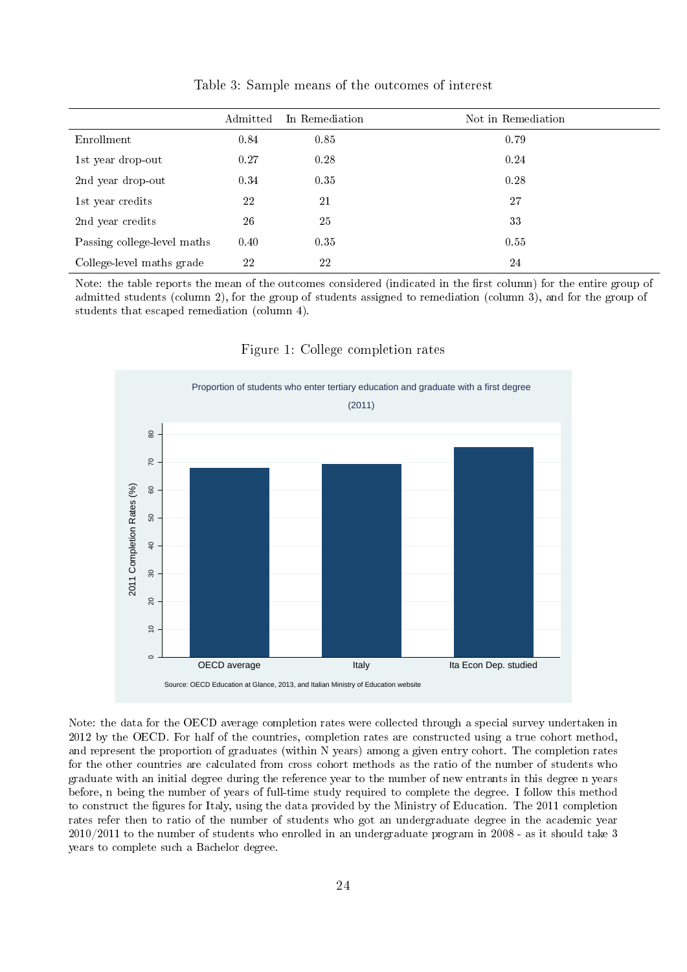<span id="page-23-0"></span>

|                             | Admitted | In Remediation | Not in Remediation |
|-----------------------------|----------|----------------|--------------------|
| Enrollment                  | 0.84     | 0.85           | 0.79               |
| 1st year drop-out           | 0.27     | 0.28           | 0.24               |
| 2nd year drop-out           | 0.34     | 0.35           | 0.28               |
| 1st year credits            | 22       | 21             | 27                 |
| 2nd year credits            | 26       | 25             | 33                 |
| Passing college-level maths | 0.40     | 0.35           | 0.55               |
| College-level maths grade   | 22       | 22             | 24                 |

Table 3: Sample means of the outcomes of interest

Note: the table reports the mean of the outcomes considered (indicated in the first column) for the entire group of admitted students (column 2), for the group of students assigned to remediation (column 3), and for the group of students that escaped remediation (column 4).



<span id="page-23-1"></span>

Note: the data for the OECD average completion rates were collected through a special survey undertaken in 2012 by the OECD. For half of the countries, completion rates are constructed using a true cohort method, and represent the proportion of graduates (within N years) among a given entry cohort. The completion rates for the other countries are calculated from cross cohort methods as the ratio of the number of students who graduate with an initial degree during the reference year to the number of new entrants in this degree n years before, n being the number of years of full-time study required to complete the degree. I follow this method to construct the figures for Italy, using the data provided by the Ministry of Education. The 2011 completion rates refer then to ratio of the number of students who got an undergraduate degree in the academic year 2010/2011 to the number of students who enrolled in an undergraduate program in 2008 - as it should take 3 years to complete such a Bachelor degree.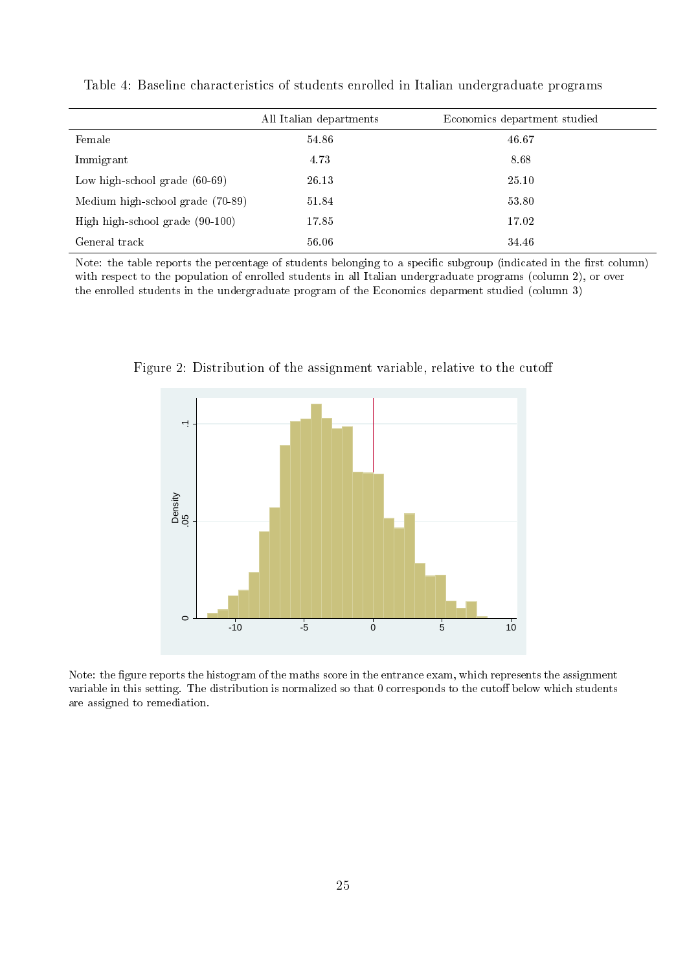<span id="page-24-0"></span>

|                                  | All Italian departments | Economics department studied |
|----------------------------------|-------------------------|------------------------------|
| Female                           | 54.86                   | 46.67                        |
| Immigrant                        | 4.73                    | 8.68                         |
| Low high-school grade $(60-69)$  | 26.13                   | 25.10                        |
| Medium high-school grade (70-89) | 51.84                   | 53.80                        |
| High high-school grade (90-100)  | 17.85                   | 17.02                        |
| General track                    | 56.06                   | 34.46                        |

Table 4: Baseline characteristics of students enrolled in Italian undergraduate programs

Note: the table reports the percentage of students belonging to a specific subgroup (indicated in the first column) with respect to the population of enrolled students in all Italian undergraduate programs (column 2), or over the enrolled students in the undergraduate program of the Economics deparment studied (column 3)



<span id="page-24-1"></span>Figure 2: Distribution of the assignment variable, relative to the cuto

Note: the figure reports the histogram of the maths score in the entrance exam, which represents the assignment variable in this setting. The distribution is normalized so that 0 corresponds to the cutoff below which students are assigned to remediation.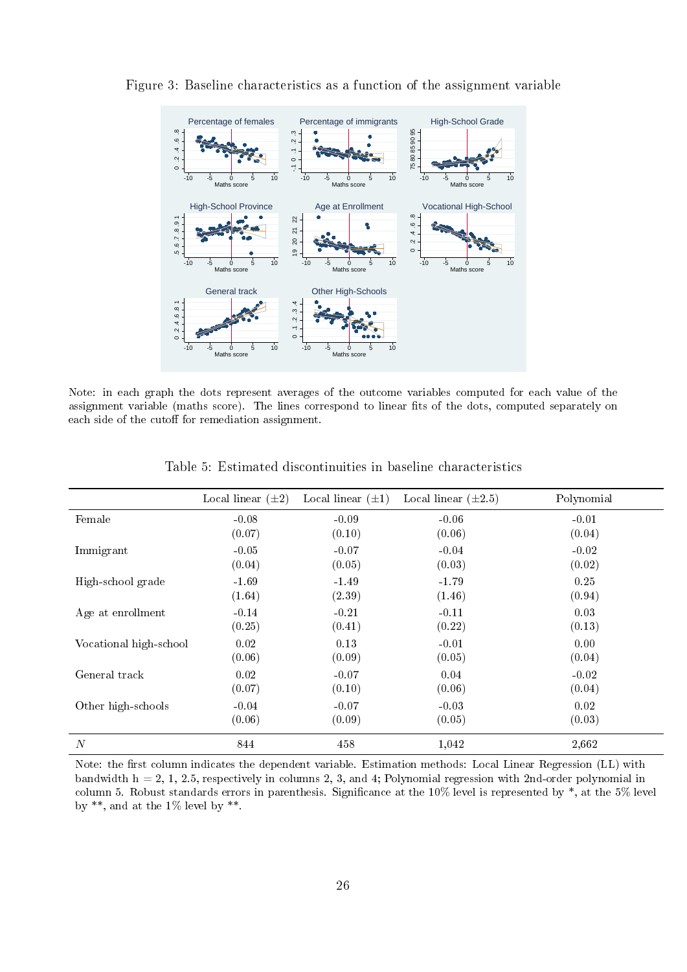

<span id="page-25-0"></span>Figure 3: Baseline characteristics as a function of the assignment variable

Note: in each graph the dots represent averages of the outcome variables computed for each value of the assignment variable (maths score). The lines correspond to linear fits of the dots, computed separately on each side of the cutoff for remediation assignment.

<span id="page-25-1"></span>

|                        | Local linear $(\pm 2)$ | Local linear $(\pm 1)$ | Local linear $(\pm 2.5)$ | Polynomial |
|------------------------|------------------------|------------------------|--------------------------|------------|
| Female                 | $-0.08$                | $-0.09$                | $-0.06$                  | $-0.01$    |
|                        | (0.07)                 | (0.10)                 | (0.06)                   | (0.04)     |
| Immigrant              | $-0.05$                | $-0.07$                | $-0.04$                  | $-0.02$    |
|                        | (0.04)                 | (0.05)                 | (0.03)                   | (0.02)     |
| High-school grade      | $-1.69$                | $-1.49$                | $-1.79$                  | 0.25       |
|                        | (1.64)                 | (2.39)                 | (1.46)                   | (0.94)     |
| Age at enrollment      | $-0.14$                | $-0.21$                | $-0.11$                  | 0.03       |
|                        | (0.25)                 | (0.41)                 | (0.22)                   | (0.13)     |
| Vocational high-school | 0.02                   | 0.13                   | $-0.01$                  | 0.00       |
|                        | (0.06)                 | (0.09)                 | (0.05)                   | (0.04)     |
| General track          | 0.02                   | $-0.07$                | 0.04                     | $-0.02$    |
|                        | (0.07)                 | (0.10)                 | (0.06)                   | (0.04)     |
| Other high-schools     | $-0.04$                | $-0.07$                | $-0.03$                  | 0.02       |
|                        | (0.06)                 | (0.09)                 | (0.05)                   | (0.03)     |
| $\overline{N}$         | 844                    | 458                    | 1,042                    | 2,662      |

Table 5: Estimated discontinuities in baseline characteristics

Note: the first column indicates the dependent variable. Estimation methods: Local Linear Regression (LL) with bandwidth  $h = 2, 1, 2.5$ , respectively in columns 2, 3, and 4; Polynomial regression with 2nd-order polynomial in column 5. Robust standards errors in parenthesis. Significance at the  $10\%$  level is represented by  $*$ , at the  $5\%$  level by  $**$ , and at the 1% level by  $**$ .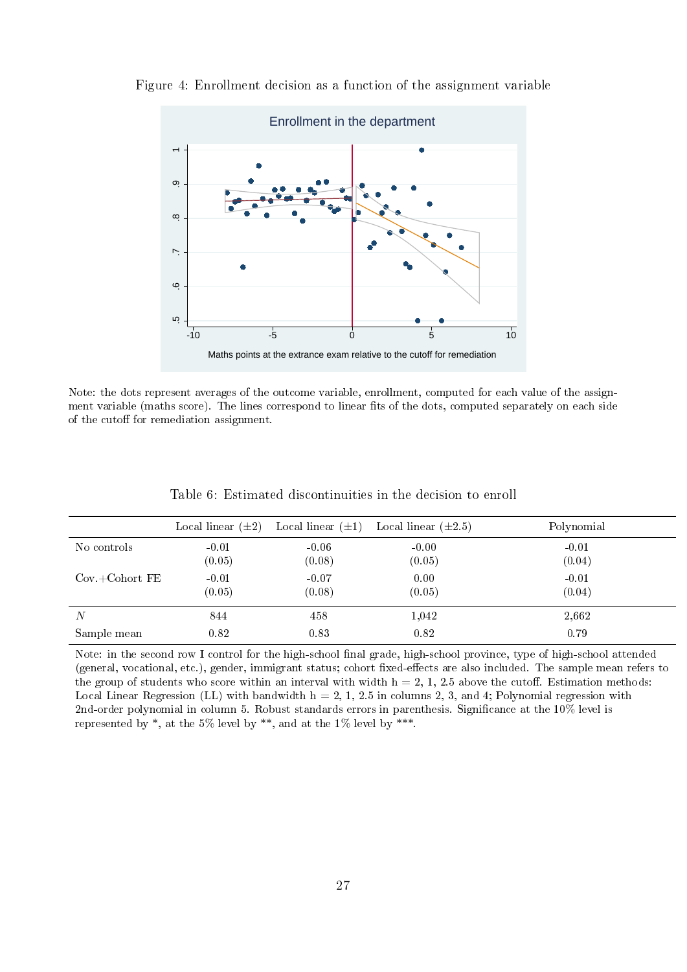

<span id="page-26-0"></span>Figure 4: Enrollment decision as a function of the assignment variable

Note: the dots represent averages of the outcome variable, enrollment, computed for each value of the assignment variable (maths score). The lines correspond to linear fits of the dots, computed separately on each side of the cutoff for remediation assignment.

<span id="page-26-1"></span>

|                          | Local linear $(\pm 2)$ |                   | Local linear $(\pm 1)$ Local linear $(\pm 2.5)$ | Polynomial        |
|--------------------------|------------------------|-------------------|-------------------------------------------------|-------------------|
| No controls              | $-0.01$<br>(0.05)      | $-0.06$<br>(0.08) | $-0.00$<br>(0.05)                               | $-0.01$<br>(0.04) |
| $Cov + \text{Cohort FE}$ | $-0.01$<br>(0.05)      | $-0.07$<br>(0.08) | 0.00<br>(0.05)                                  | $-0.01$<br>(0.04) |
| $\overline{N}$           | 844                    | 458               | 1,042                                           | 2,662             |
| Sample mean              | 0.82                   | 0.83              | 0.82                                            | 0.79              |

Table 6: Estimated discontinuities in the decision to enroll

Note: in the second row I control for the high-school final grade, high-school province, type of high-school attended (general, vocational, etc.), gender, immigrant status; cohort fixed-effects are also included. The sample mean refers to the group of students who score within an interval with width  $h = 2, 1, 2.5$  above the cutoff. Estimation methods: Local Linear Regression (LL) with bandwidth  $h = 2, 1, 2.5$  in columns 2, 3, and 4; Polynomial regression with 2nd-order polynomial in column 5. Robust standards errors in parenthesis. Significance at the 10% level is represented by  $*$ , at the 5% level by  $**$ , and at the 1% level by  $***$ .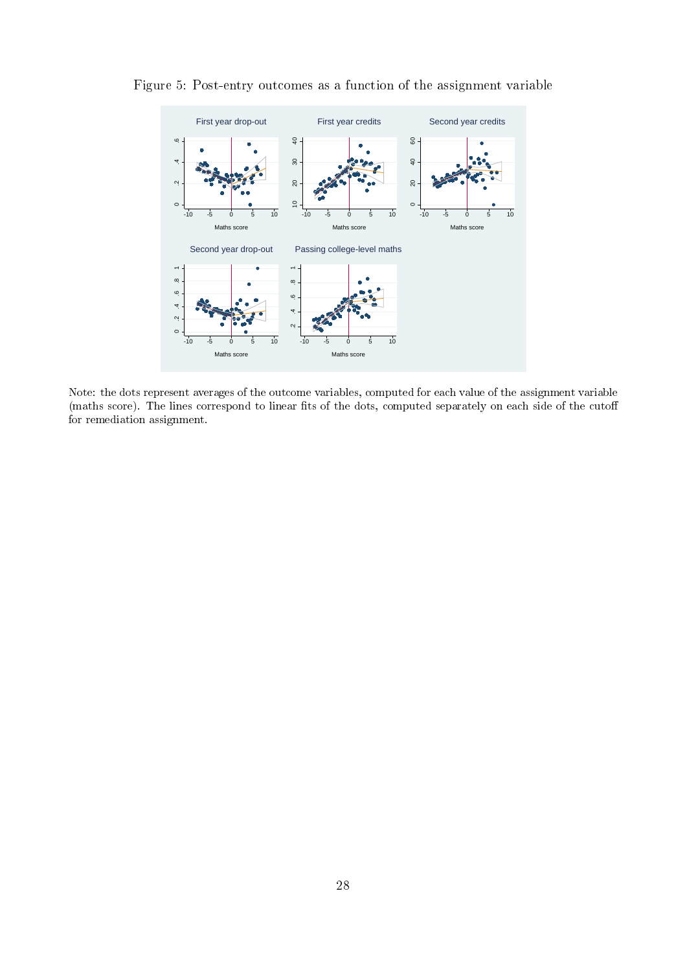

<span id="page-27-0"></span>Figure 5: Post-entry outcomes as a function of the assignment variable

Note: the dots represent averages of the outcome variables, computed for each value of the assignment variable (maths score). The lines correspond to linear fits of the dots, computed separately on each side of the cutoff for remediation assignment.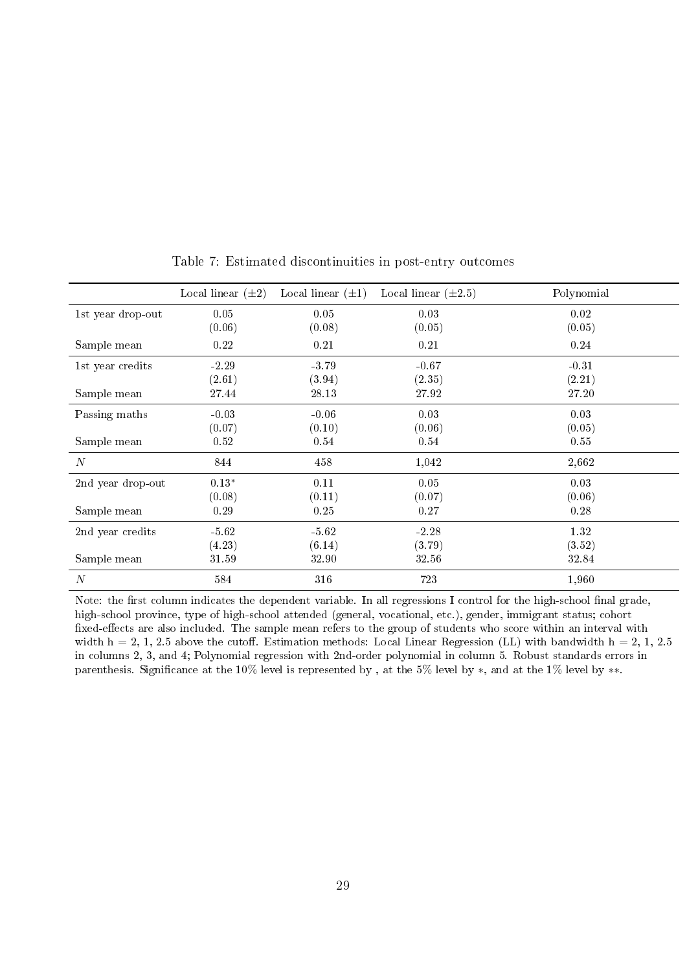<span id="page-28-0"></span>

|                   | Local linear $(\pm 2)$ | Local linear $(\pm 1)$ | Local linear $(\pm 2.5)$ | Polynomial |
|-------------------|------------------------|------------------------|--------------------------|------------|
| 1st year drop-out | 0.05                   | 0.05                   | 0.03                     | 0.02       |
|                   | (0.06)                 | (0.08)                 | (0.05)                   | (0.05)     |
| Sample mean       | 0.22                   | 0.21                   | 0.21                     | 0.24       |
| 1st year credits  | $-2.29$                | $-3.79$                | $-0.67$                  | $-0.31$    |
|                   | (2.61)                 | (3.94)                 | (2.35)                   | (2.21)     |
| Sample mean       | 27.44                  | 28.13                  | 27.92                    | 27.20      |
| Passing maths     | $-0.03$                | $-0.06$                | 0.03                     | 0.03       |
|                   | (0.07)                 | (0.10)                 | (0.06)                   | (0.05)     |
| Sample mean       | 0.52                   | 0.54                   | 0.54                     | 0.55       |
| $\boldsymbol{N}$  | 844                    | 458                    | 1,042                    | 2,662      |
| 2nd year drop-out | $0.13^{\ast}$          | 0.11                   | 0.05                     | 0.03       |
|                   | (0.08)                 | (0.11)                 | (0.07)                   | (0.06)     |
| Sample mean       | 0.29                   | 0.25                   | 0.27                     | 0.28       |
| 2nd year credits  | $-5.62$                | $-5.62$                | $-2.28$                  | 1.32       |
|                   | (4.23)                 | (6.14)                 | (3.79)                   | (3.52)     |
| Sample mean       | 31.59                  | 32.90                  | 32.56                    | 32.84      |
| $\boldsymbol{N}$  | 584                    | 316                    | 723                      | 1,960      |

Table 7: Estimated discontinuities in post-entry outcomes

Note: the first column indicates the dependent variable. In all regressions I control for the high-school final grade, high-school province, type of high-school attended (general, vocational, etc.), gender, immigrant status; cohort fixed-effects are also included. The sample mean refers to the group of students who score within an interval with width  $h = 2, 1, 2.5$  above the cutoff. Estimation methods: Local Linear Regression (LL) with bandwidth  $h = 2, 1, 2.5$ in columns 2, 3, and 4; Polynomial regression with 2nd-order polynomial in column 5. Robust standards errors in parenthesis. Significance at the 10% level is represented by, at the 5% level by ∗, and at the 1% level by ∗∗.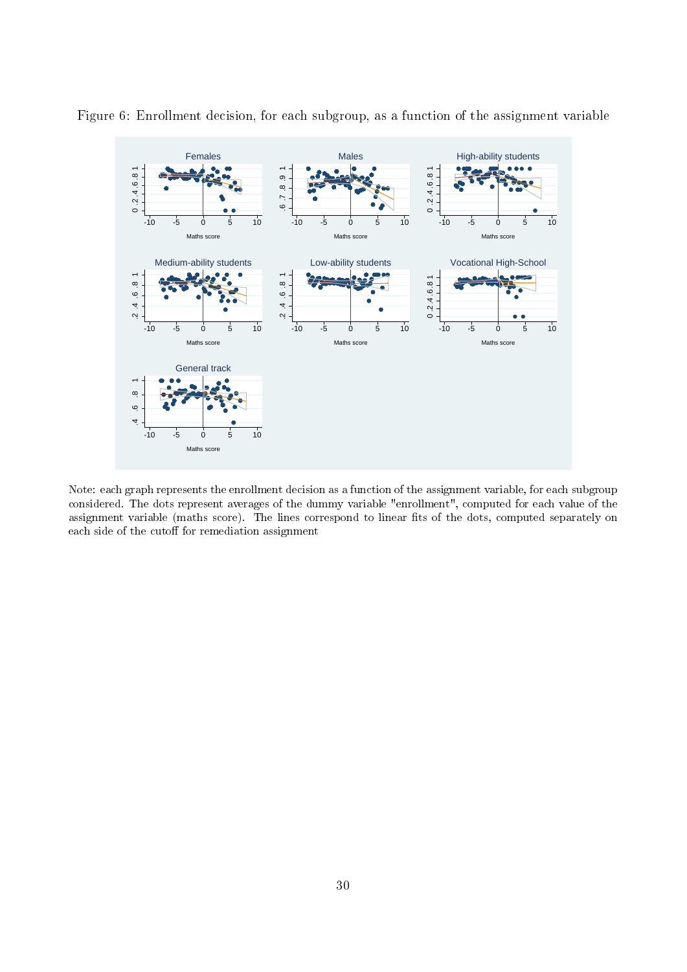

<span id="page-29-0"></span>Figure 6: Enrollment decision, for each subgroup, as a function of the assignment variable

Note: each graph represents the enrollment decision as a function of the assignment variable, for each subgroup considered. The dots represent averages of the dummy variable "enrollment", computed for each value of the assignment variable (maths score). The lines correspond to linear fits of the dots, computed separately on each side of the cutoff for remediation assignment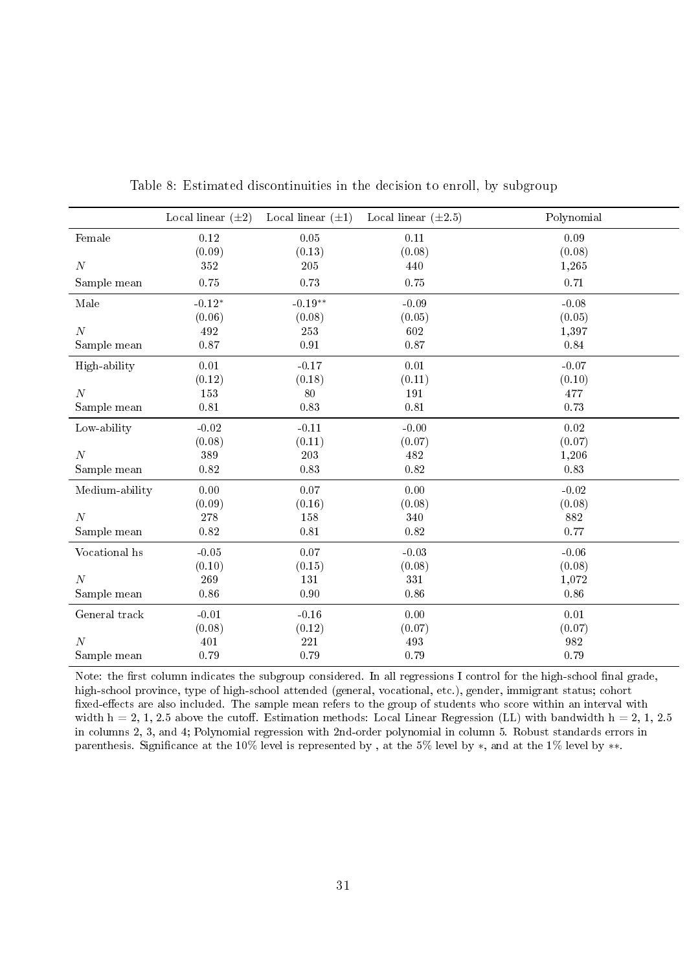<span id="page-30-0"></span>

|                  | Local linear $(\pm 2)$ | Local linear $(\pm 1)$ | Local linear $(\pm 2.5)$ | Polynomial |
|------------------|------------------------|------------------------|--------------------------|------------|
| Female           | 0.12                   | 0.05                   | 0.11                     | 0.09       |
|                  | (0.09)                 | (0.13)                 | (0.08)                   | (0.08)     |
| $\cal N$         | $352\,$                | 205                    | 440                      | 1,265      |
| Sample mean      | 0.75                   | 0.73                   | 0.75                     | 0.71       |
| Male             | $-0.12*$               | $-0.19**$              | $-0.09$                  | $-0.08$    |
|                  | (0.06)                 | (0.08)                 | (0.05)                   | (0.05)     |
| $\overline{N}$   | 492                    | 253                    | 602                      | 1,397      |
| Sample mean      | 0.87                   | $\rm 0.91$             | 0.87                     | $\rm 0.84$ |
| High-ability     | $0.01\,$               | $-0.17$                | 0.01                     | $-0.07$    |
|                  | (0.12)                 | (0.18)                 | (0.11)                   | (0.10)     |
| $\boldsymbol{N}$ | 153                    | 80                     | 191                      | 477        |
| Sample mean      | $0.81\,$               | 0.83                   | $0.81\,$                 | 0.73       |
| Low-ability      | $-0.02$                | $-0.11$                | $-0.00$                  | 0.02       |
|                  | (0.08)                 | (0.11)                 | (0.07)                   | (0.07)     |
| $\boldsymbol{N}$ | 389                    | 203                    | 482                      | 1,206      |
| Sample mean      | 0.82                   | 0.83                   | 0.82                     | 0.83       |
| Medium-ability   | 0.00                   | 0.07                   | 0.00                     | $-0.02$    |
|                  | (0.09)                 | (0.16)                 | (0.08)                   | (0.08)     |
| $\cal N$         | $2\,78$                | 158                    | 340                      | 882        |
| Sample mean      | 0.82                   | $\rm 0.81$             | $0.82\,$                 | 0.77       |
| Vocational hs    | $-0.05$                | 0.07                   | $-0.03$                  | $-0.06$    |
|                  | (0.10)                 | (0.15)                 | (0.08)                   | (0.08)     |
| N                | 269                    | 131                    | 331                      | 1,072      |
| Sample mean      | 0.86                   | 0.90                   | 0.86                     | 0.86       |
| General track    | $-0.01$                | $-0.16$                | 0.00                     | 0.01       |
|                  | (0.08)                 | (0.12)                 | (0.07)                   | (0.07)     |
| $\boldsymbol{N}$ | 401                    | 221                    | 493                      | 982        |
| Sample mean      | 0.79                   | 0.79                   | 0.79                     | 0.79       |

Table 8: Estimated discontinuities in the decision to enroll, by subgroup

Note: the first column indicates the subgroup considered. In all regressions I control for the high-school final grade, high-school province, type of high-school attended (general, vocational, etc.), gender, immigrant status; cohort fixed-effects are also included. The sample mean refers to the group of students who score within an interval with width  $h = 2, 1, 2.5$  above the cutoff. Estimation methods: Local Linear Regression (LL) with bandwidth  $h = 2, 1, 2.5$ in columns 2, 3, and 4; Polynomial regression with 2nd-order polynomial in column 5. Robust standards errors in parenthesis. Significance at the 10% level is represented by, at the 5% level by ∗, and at the 1% level by ∗∗.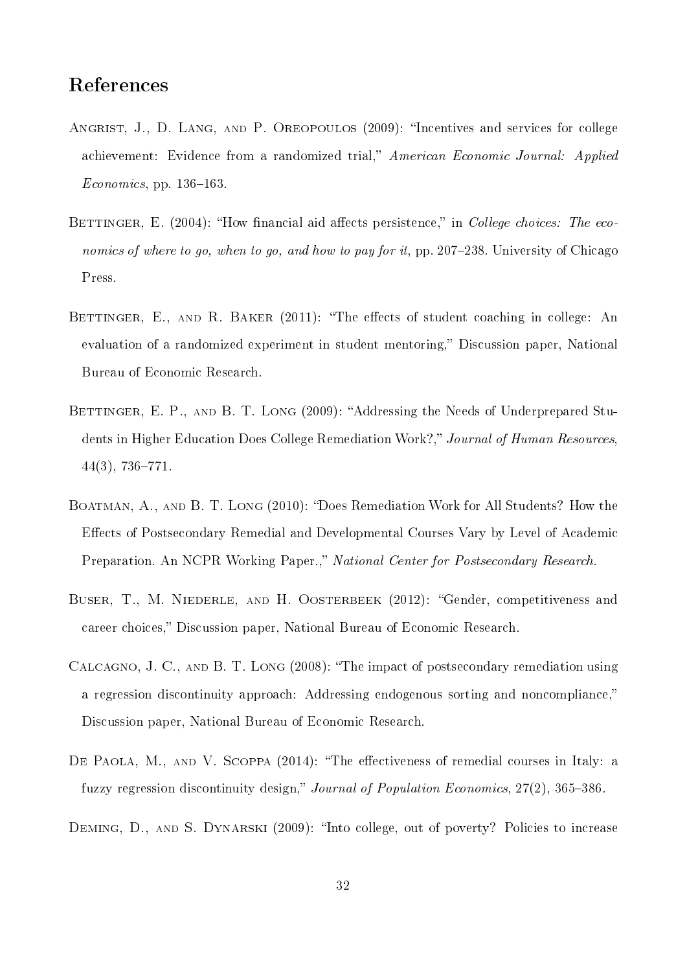## References

- <span id="page-31-5"></span>ANGRIST, J., D. LANG, AND P. OREOPOULOS (2009): "Incentives and services for college achievement: Evidence from a randomized trial," American Economic Journal: Applied  $Economics$ , pp. 136-163.
- <span id="page-31-4"></span>BETTINGER, E. (2004): "How financial aid affects persistence," in College choices: The economics of where to go, when to go, and how to pay for it, pp. 207–238. University of Chicago Press.
- <span id="page-31-6"></span>BETTINGER, E., AND R. BAKER  $(2011)$ : "The effects of student coaching in college: An evaluation of a randomized experiment in student mentoring," Discussion paper, National Bureau of Economic Research.
- <span id="page-31-0"></span>BETTINGER, E. P., AND B. T. LONG (2009): "Addressing the Needs of Underprepared Students in Higher Education Does College Remediation Work?," Journal of Human Resources.  $44(3)$ , 736-771.
- <span id="page-31-1"></span>BOATMAN, A., AND B. T. LONG (2010): "Does Remediation Work for All Students? How the Effects of Postsecondary Remedial and Developmental Courses Vary by Level of Academic Preparation. An NCPR Working Paper.," National Center for Postsecondary Research.
- <span id="page-31-8"></span>BUSER, T., M. NIEDERLE, AND H. OOSTERBEEK (2012): "Gender, competitiveness and career choices," Discussion paper, National Bureau of Economic Research.
- <span id="page-31-2"></span>CALCAGNO, J. C., AND B. T. LONG (2008): "The impact of postsecondary remediation using a regression discontinuity approach: Addressing endogenous sorting and noncompliance, Discussion paper, National Bureau of Economic Research.
- <span id="page-31-7"></span>DE PAOLA, M., AND V. SCOPPA  $(2014)$ : "The effectiveness of remedial courses in Italy: a fuzzy regression discontinuity design," Journal of Population Economics,  $27(2)$ ,  $365-386$ .
- <span id="page-31-3"></span>DEMING, D., AND S. DYNARSKI (2009): "Into college, out of poverty? Policies to increase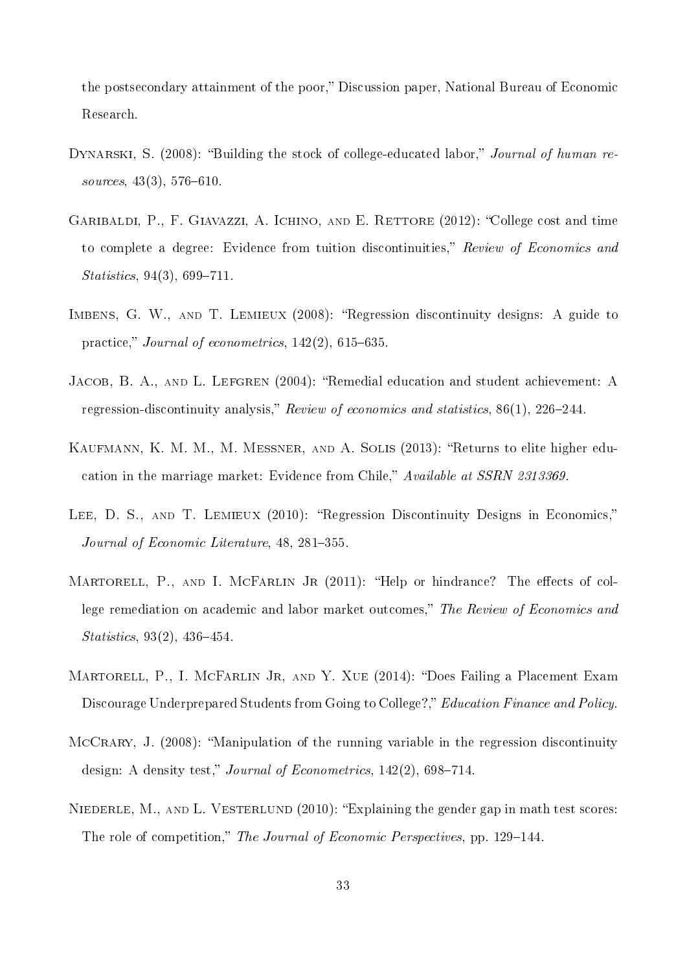the postsecondary attainment of the poor," Discussion paper, National Bureau of Economic Research.

- <span id="page-32-2"></span>DYNARSKI, S. (2008): "Building the stock of college-educated labor," Journal of human resources,  $43(3)$ ,  $576-610$ .
- <span id="page-32-3"></span>GARIBALDI, P., F. GIAVAZZI, A. ICHINO, AND E. RETTORE (2012): "College cost and time to complete a degree: Evidence from tuition discontinuities," Review of Economics and  $Statistics, 94(3), 699-711.$
- <span id="page-32-5"></span>IMBENS, G. W., AND T. LEMIEUX (2008): "Regression discontinuity designs: A guide to practice," Journal of econometrics,  $142(2)$ , 615–635.
- <span id="page-32-6"></span>JACOB, B. A., AND L. LEFGREN (2004): "Remedial education and student achievement: A regression-discontinuity analysis," Review of economics and statistics,  $86(1)$ ,  $226-244$ .
- <span id="page-32-0"></span>KAUFMANN, K. M. M., M. MESSNER, AND A. SOLIS (2013): "Returns to elite higher education in the marriage market: Evidence from Chile," Available at SSRN 2313369.
- <span id="page-32-7"></span>LEE, D. S., AND T. LEMIEUX (2010): "Regression Discontinuity Designs in Economics," Journal of Economic Literature, 48, 281-355.
- <span id="page-32-4"></span>MARTORELL, P., AND I. MCFARLIN JR (2011): "Help or hindrance? The effects of college remediation on academic and labor market outcomes," The Review of Economics and  $Statistics, 93(2), 436-454.$
- <span id="page-32-1"></span>MARTORELL, P., I. MCFARLIN JR, AND Y. XUE (2014): "Does Failing a Placement Exam Discourage Underprepared Students from Going to College?," Education Finance and Policy.
- <span id="page-32-8"></span>MCCRARY, J. (2008): "Manipulation of the running variable in the regression discontinuity design: A density test," Journal of Econometrics,  $142(2)$ , 698-714.
- <span id="page-32-9"></span>NIEDERLE, M., AND L. VESTERLUND  $(2010)$ : "Explaining the gender gap in math test scores: The role of competition," The Journal of Economic Perspectives, pp. 129–144.